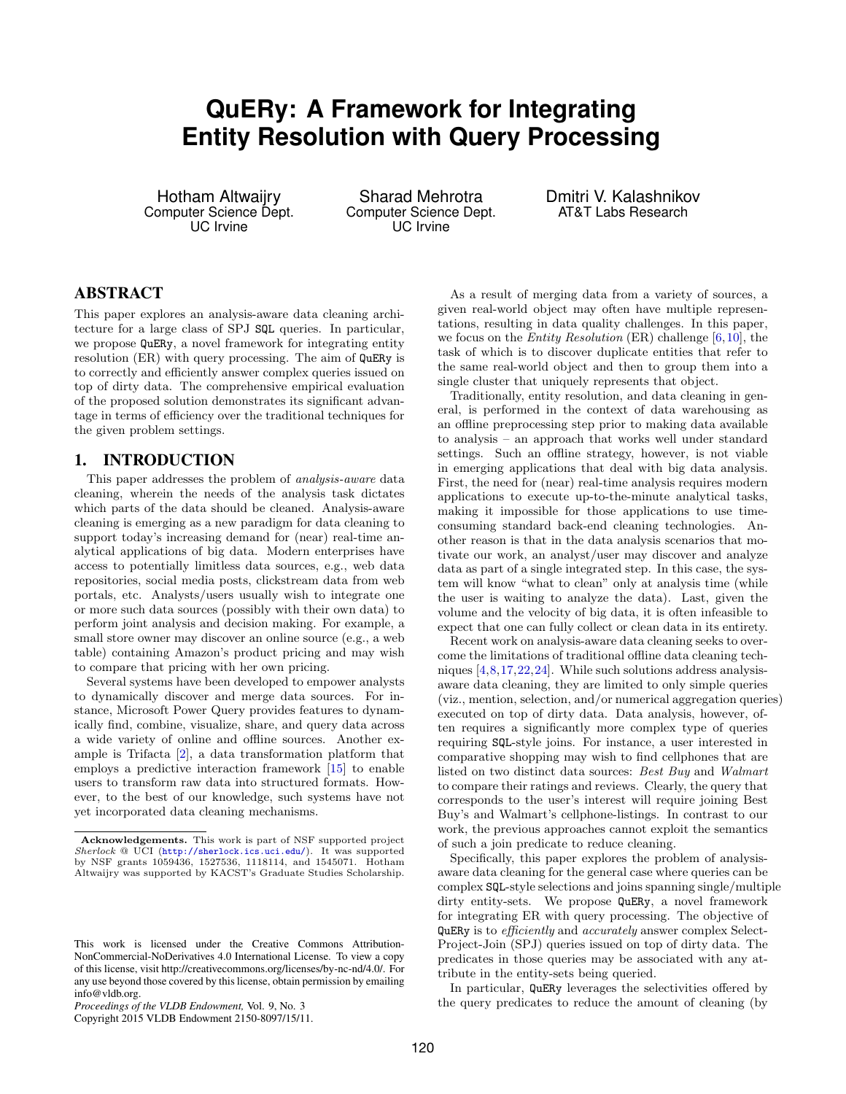# **QuERy: A Framework for Integrating Entity Resolution with Query Processing**

Hotham Altwaijry Computer Science Dept. UC Irvine

Sharad Mehrotra Computer Science Dept. UC Irvine

Dmitri V. Kalashnikov AT&T Labs Research

## ABSTRACT

This paper explores an analysis-aware data cleaning architecture for a large class of SPJ SQL queries. In particular, we propose QuERy, a novel framework for integrating entity resolution (ER) with query processing. The aim of QuERy is to correctly and efficiently answer complex queries issued on top of dirty data. The comprehensive empirical evaluation of the proposed solution demonstrates its significant advantage in terms of efficiency over the traditional techniques for the given problem settings[.](#page-0-0)

### 1. INTRODUCTION

This paper addresses the problem of analysis-aware data cleaning, wherein the needs of the analysis task dictates which parts of the data should be cleaned. Analysis-aware cleaning is emerging as a new paradigm for data cleaning to support today's increasing demand for (near) real-time analytical applications of big data. Modern enterprises have access to potentially limitless data sources, e.g., web data repositories, social media posts, clickstream data from web portals, etc. Analysts/users usually wish to integrate one or more such data sources (possibly with their own data) to perform joint analysis and decision making. For example, a small store owner may discover an online source (e.g., a web table) containing Amazon's product pricing and may wish to compare that pricing with her own pricing.

Several systems have been developed to empower analysts to dynamically discover and merge data sources. For instance, Microsoft Power Query provides features to dynamically find, combine, visualize, share, and query data across a wide variety of online and offline sources. Another example is Trifacta [\[2\]](#page-11-0), a data transformation platform that employs a predictive interaction framework [\[15\]](#page-11-1) to enable users to transform raw data into structured formats. However, to the best of our knowledge, such systems have not yet incorporated data cleaning mechanisms.

*Proceedings of the VLDB Endowment,* Vol. 9, No. 3

Copyright 2015 VLDB Endowment 2150-8097/15/11.

As a result of merging data from a variety of sources, a given real-world object may often have multiple representations, resulting in data quality challenges. In this paper, we focus on the *Entity Resolution* (ER) challenge [\[6,](#page-11-2)[10\]](#page-11-3), the task of which is to discover duplicate entities that refer to the same real-world object and then to group them into a single cluster that uniquely represents that object.

Traditionally, entity resolution, and data cleaning in general, is performed in the context of data warehousing as an offline preprocessing step prior to making data available to analysis – an approach that works well under standard settings. Such an offline strategy, however, is not viable in emerging applications that deal with big data analysis. First, the need for (near) real-time analysis requires modern applications to execute up-to-the-minute analytical tasks, making it impossible for those applications to use timeconsuming standard back-end cleaning technologies. Another reason is that in the data analysis scenarios that motivate our work, an analyst/user may discover and analyze data as part of a single integrated step. In this case, the system will know "what to clean" only at analysis time (while the user is waiting to analyze the data). Last, given the volume and the velocity of big data, it is often infeasible to expect that one can fully collect or clean data in its entirety.

Recent work on analysis-aware data cleaning seeks to overcome the limitations of traditional offline data cleaning techniques [\[4,](#page-11-4)[8](#page-11-5)[,17,](#page-11-6)[22,](#page-11-7)[24\]](#page-11-8). While such solutions address analysisaware data cleaning, they are limited to only simple queries (viz., mention, selection, and/or numerical aggregation queries) executed on top of dirty data. Data analysis, however, often requires a significantly more complex type of queries requiring SQL-style joins. For instance, a user interested in comparative shopping may wish to find cellphones that are listed on two distinct data sources: Best Buy and Walmart to compare their ratings and reviews. Clearly, the query that corresponds to the user's interest will require joining Best Buy's and Walmart's cellphone-listings. In contrast to our work, the previous approaches cannot exploit the semantics of such a join predicate to reduce cleaning.

Specifically, this paper explores the problem of analysisaware data cleaning for the general case where queries can be complex SQL-style selections and joins spanning single/multiple dirty entity-sets. We propose QuERy, a novel framework for integrating ER with query processing. The objective of QuERy is to efficiently and accurately answer complex Select-Project-Join (SPJ) queries issued on top of dirty data. The predicates in those queries may be associated with any attribute in the entity-sets being queried.

In particular, QuERy leverages the selectivities offered by the query predicates to reduce the amount of cleaning (by

<span id="page-0-0"></span>Acknowledgements. This work is part of NSF supported project Sherlock @ UCI (<http://sherlock.ics.uci.edu/>). It was supported by NSF grants 1059436, 1527536, 1118114, and 1545071. Hotham Altwaijry was supported by KACST's Graduate Studies Scholarship.

This work is licensed under the Creative Commons Attribution-NonCommercial-NoDerivatives 4.0 International License. To view a copy of this license, visit http://creativecommons.org/licenses/by-nc-nd/4.0/. For any use beyond those covered by this license, obtain permission by emailing info@vldb.org.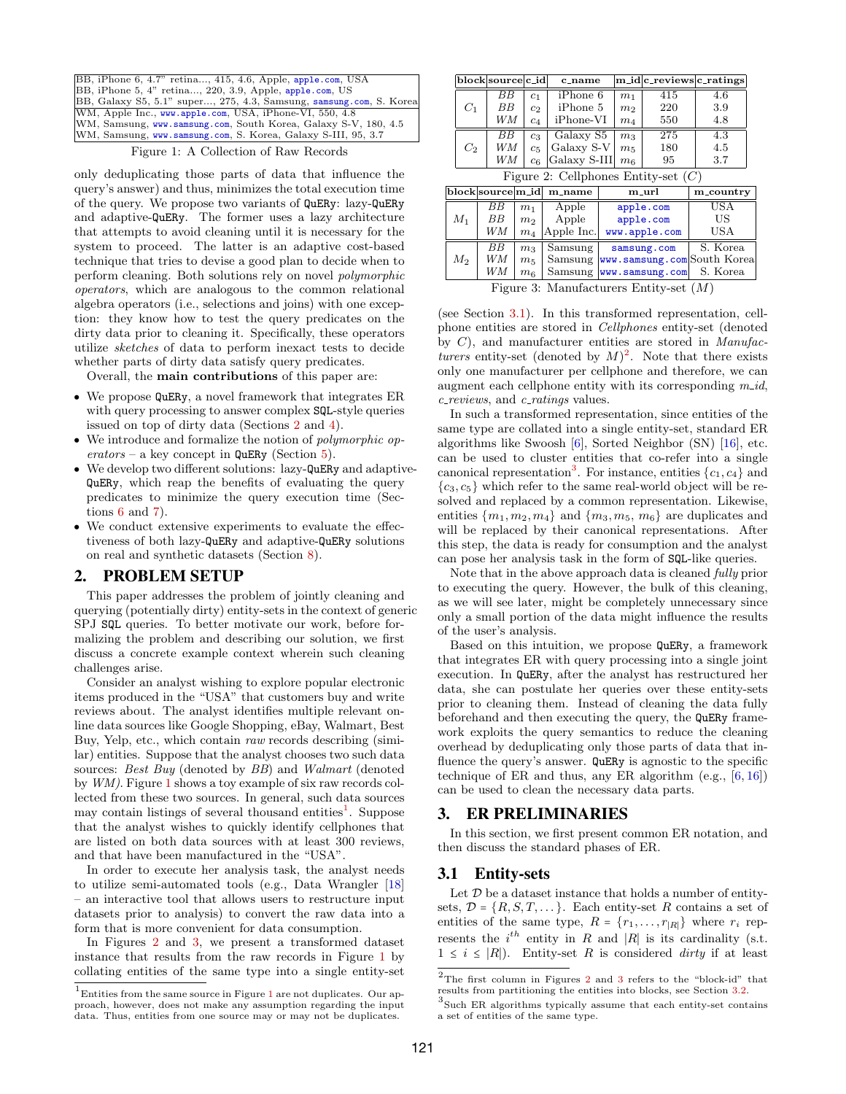<span id="page-1-1"></span>

| $ BB,$ iPhone 6, 4.7" retina, 415, 4.6, Apple, apple.com, USA         |
|-----------------------------------------------------------------------|
| BB, iPhone 5, 4" retina, 220, 3.9, Apple, apple.com, US               |
| [BB, Galaxy S5, 5.1" super, 275, 4.3, Samsung, samsung.com, S. Korea] |
| WM, Apple Inc., www.apple.com, USA, iPhone-VI, 550, 4.8               |
| WM, Samsung, www.samsung.com, South Korea, Galaxy S-V, 180, 4.5       |
| WM, Samsung, www.samsung.com, S. Korea, Galaxy S-III, 95, 3.7         |

Figure 1: A Collection of Raw Records

only deduplicating those parts of data that influence the query's answer) and thus, minimizes the total execution time of the query. We propose two variants of QuERy: lazy-QuERy and adaptive-QuERy. The former uses a lazy architecture that attempts to avoid cleaning until it is necessary for the system to proceed. The latter is an adaptive cost-based technique that tries to devise a good plan to decide when to perform cleaning. Both solutions rely on novel polymorphic operators, which are analogous to the common relational algebra operators (i.e., selections and joins) with one exception: they know how to test the query predicates on the dirty data prior to cleaning it. Specifically, these operators utilize sketches of data to perform inexact tests to decide whether parts of dirty data satisfy query predicates.

Overall, the main contributions of this paper are:

- We propose QuERy, a novel framework that integrates ER with query processing to answer complex  $SQL-style$  queries issued on top of dirty data (Sections [2](#page-1-0) and [4\)](#page-2-0).
- We introduce and formalize the notion of *polymorphic op* $erators - a$  key concept in QuERy (Section [5\)](#page-3-0).
- We develop two different solutions: lazy-QuERy and adaptive-QuERy, which reap the benefits of evaluating the query predicates to minimize the query execution time (Sections [6](#page-5-0) and [7\)](#page-7-0).
- We conduct extensive experiments to evaluate the effectiveness of both lazy-QuERy and adaptive-QuERy solutions on real and synthetic datasets (Section [8\)](#page-8-0).

### <span id="page-1-0"></span>2. PROBLEM SETUP

This paper addresses the problem of jointly cleaning and querying (potentially dirty) entity-sets in the context of generic SPJ SQL queries. To better motivate our work, before formalizing the problem and describing our solution, we first discuss a concrete example context wherein such cleaning challenges arise.

Consider an analyst wishing to explore popular electronic items produced in the "USA" that customers buy and write reviews about. The analyst identifies multiple relevant online data sources like Google Shopping, eBay, Walmart, Best Buy, Yelp, etc., which contain raw records describing (similar) entities. Suppose that the analyst chooses two such data sources: Best Buy (denoted by BB) and Walmart (denoted by WM). Figure [1](#page-1-1) shows a toy example of six raw records collected from these two sources. In general, such data sources may contain listings of several thousand entities<sup>[1](#page-1-2)</sup>. Suppose that the analyst wishes to quickly identify cellphones that are listed on both data sources with at least 300 reviews, and that have been manufactured in the "USA".

In order to execute her analysis task, the analyst needs to utilize semi-automated tools (e.g., Data Wrangler [\[18\]](#page-11-9) – an interactive tool that allows users to restructure input datasets prior to analysis) to convert the raw data into a form that is more convenient for data consumption.

In Figures [2](#page-1-3) and [3,](#page-1-4) we present a transformed dataset instance that results from the raw records in Figure [1](#page-1-1) by collating entities of the same type into a single entity-set

<span id="page-1-4"></span><span id="page-1-3"></span>

|       | block source c_id                                  |                   | c_name         |              |                | m_id c_reviews c_ratings |                             |
|-------|----------------------------------------------------|-------------------|----------------|--------------|----------------|--------------------------|-----------------------------|
|       |                                                    | $\overline{BB}$   | c <sub>1</sub> | iPhone 6     | m <sub>1</sub> | 415                      | 4.6                         |
|       | $C_1$                                              | ВB                | $c_2$          | iPhone 5     | m <sub>2</sub> | 220                      | 3.9                         |
|       |                                                    | WМ                | c <sub>4</sub> | iPhone-VI    | m <sub>4</sub> | 550                      | 4.8                         |
|       |                                                    | BB.               | $c_3$          | Galaxy S5    | m <sub>3</sub> | 275                      | 4.3                         |
|       | C <sub>2</sub>                                     | WM                | $c_{5}$        | Galaxy S-V   | m <sub>5</sub> | 180                      | 4.5                         |
|       |                                                    | WМ                | c <sub>6</sub> | Galaxy S-III | m <sub>6</sub> | 95                       | 3.7                         |
|       | Figure 2: Cellphones Entity-set $(C)$              |                   |                |              |                |                          |                             |
|       |                                                    | block source m_id |                | m_name       |                | m_url                    | m_country                   |
|       |                                                    | ΒB                | m <sub>1</sub> | Apple        |                | apple.com                | USA                         |
| $M_1$ |                                                    | ВB                | m <sub>2</sub> | Apple        |                | apple.com                | US                          |
|       | WM                                                 |                   | m <sub>4</sub> | Apple Inc.   |                | www.apple.com            | <b>USA</b>                  |
|       |                                                    | $\overline{BB}$   | m <sub>3</sub> | Samsung      |                | samsung.com              | S. Korea                    |
|       | $M_2$                                              | WM                | m <sub>5</sub> | Samsung      |                |                          | www.samsung.com South Korea |
|       | WM<br>Samsung<br>www.samsung.com<br>m <sub>6</sub> |                   |                | S. Korea     |                |                          |                             |
|       |                                                    |                   |                |              |                |                          |                             |

(see Section [3.1\)](#page-1-5). In this transformed representation, cellphone entities are stored in Cellphones entity-set (denoted by  $C$ ), and manufacturer entities are stored in *Manufac*turers entity-set (denoted by  $M$ )<sup>[2](#page-1-6)</sup>. Note that there exists only one manufacturer per cellphone and therefore, we can augment each cellphone entity with its corresponding  $m_id$ , c\_reviews, and c\_ratings values.

In such a transformed representation, since entities of the same type are collated into a single entity-set, standard ER algorithms like Swoosh [\[6\]](#page-11-2), Sorted Neighbor (SN) [\[16\]](#page-11-10), etc. can be used to cluster entities that co-refer into a single canonical representation<sup>[3](#page-1-7)</sup>. For instance, entities  $\{c_1, c_4\}$  and  ${c_3, c_5}$  which refer to the same real-world object will be resolved and replaced by a common representation. Likewise, entities  $\{m_1, m_2, m_4\}$  and  $\{m_3, m_5, m_6\}$  are duplicates and will be replaced by their canonical representations. After this step, the data is ready for consumption and the analyst can pose her analysis task in the form of SQL-like queries.

Note that in the above approach data is cleaned fully prior to executing the query. However, the bulk of this cleaning, as we will see later, might be completely unnecessary since only a small portion of the data might influence the results of the user's analysis.

Based on this intuition, we propose QuERy, a framework that integrates ER with query processing into a single joint execution. In QuERy, after the analyst has restructured her data, she can postulate her queries over these entity-sets prior to cleaning them. Instead of cleaning the data fully beforehand and then executing the query, the QuERy framework exploits the query semantics to reduce the cleaning overhead by deduplicating only those parts of data that influence the query's answer. QuERy is agnostic to the specific technique of ER and thus, any ER algorithm (e.g., [\[6,](#page-11-2) [16\]](#page-11-10)) can be used to clean the necessary data parts.

### <span id="page-1-8"></span>3. ER PRELIMINARIES

In this section, we first present common ER notation, and then discuss the standard phases of ER.

### <span id="page-1-5"></span>3.1 Entity-sets

Let  $D$  be a dataset instance that holds a number of entitysets,  $\mathcal{D} = \{R, S, T, \dots\}$ . Each entity-set R contains a set of entities of the same type,  $R = \{r_1, \ldots, r_{|R|}\}\$  where  $r_i$  represents the  $i^{th}$  entity in R and |R| is its cardinality (s.t.  $1 \leq i \leq |R|$ ). Entity-set R is considered dirty if at least

<span id="page-1-2"></span> $1<sup>1</sup>$  $1<sup>1</sup>$  Entities from the same source in Figure 1 are not duplicates. Our approach, however, does not make any assumption regarding the input data. Thus, entities from one source may or may not be duplicates.

<span id="page-1-6"></span> $2$ The first column in Figures 2 and [3](#page-1-4) refers to the "block-id" that results from partitioning the entities into blocks, see Section [3.2.](#page-2-1)

<span id="page-1-7"></span> $3$ Such ER algorithms typically assume that each entity-set contains a set of entities of the same type.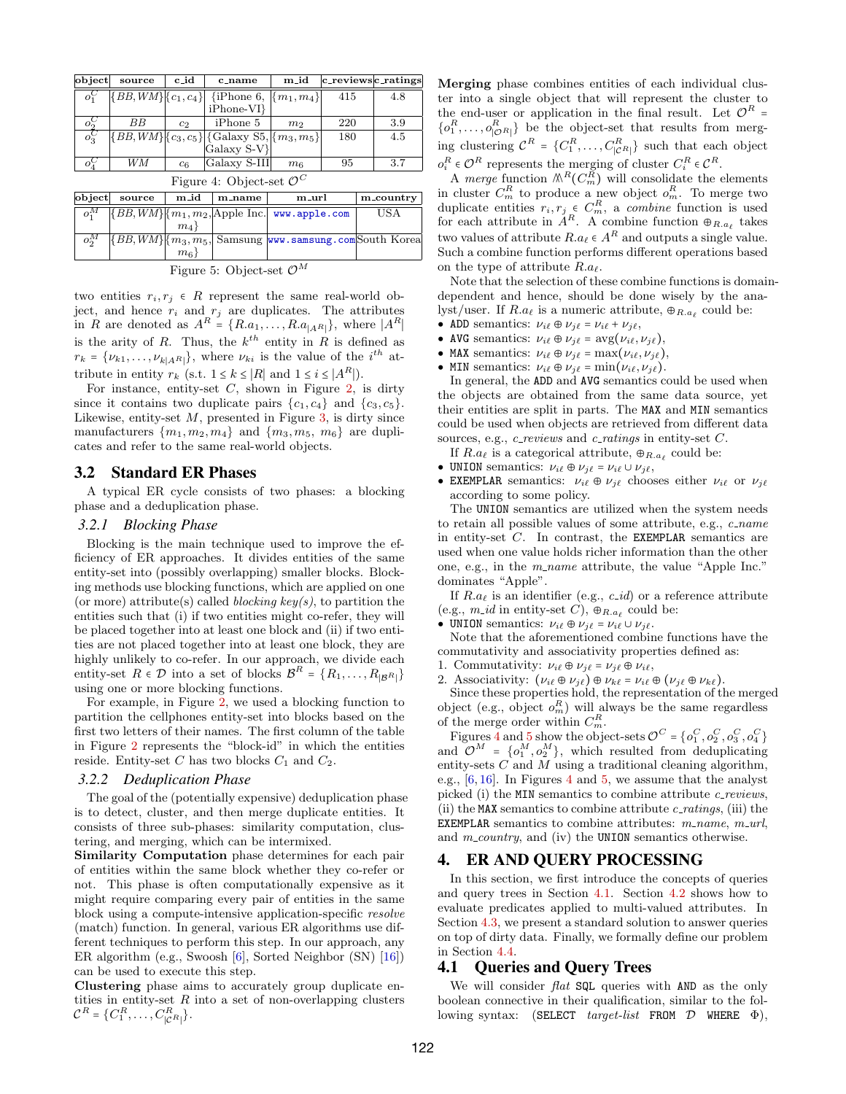<span id="page-2-2"></span>

| object                    | source                               | c_id           | c_name                                              | m_id           |     | $c$ -reviews $c$ -ratings |  |
|---------------------------|--------------------------------------|----------------|-----------------------------------------------------|----------------|-----|---------------------------|--|
| $o^C$                     |                                      |                | $\overline{\{BB,WM\}\{c_1,c_4\}}$ {iPhone 6,        | $\{m_1, m_4\}$ | 415 | 4.8                       |  |
|                           |                                      |                | iPhone-VI}                                          |                |     |                           |  |
| $o_{\alpha}^{\mathsf{C}}$ | ВB                                   | c <sub>2</sub> | iPhone 5                                            | m <sub>2</sub> | 220 | 3.9                       |  |
| $\overline{o_3^C}$        |                                      |                | ${BB, WM}$ { $c_3, c_5$ }{Galaxy S5, { $m_3, m_5$ } |                | 180 | 4.5                       |  |
|                           |                                      |                | Galaxy S-V}                                         |                |     |                           |  |
| $o^{\mathcal{C}}$         | WМ                                   | c <sub>6</sub> | Galaxy S-III                                        | m <sub>6</sub> | 95  | 3.7                       |  |
|                           | Figure 4: Object-set $\mathcal{O}^C$ |                |                                                     |                |     |                           |  |
| object                    | source                               | m_id           | m_name                                              | m_url          |     | m_country                 |  |
| $o_1^M$                   |                                      | $\sim$ $\sim$  | $\sqrt{AB,WM\}$ $\sqrt{m_1}, m_2$ , Apple Inc.      | www.apple.com  |     | USA                       |  |

<span id="page-2-3"></span>

|              | $m_A$          |                                      |                                                                          |  |
|--------------|----------------|--------------------------------------|--------------------------------------------------------------------------|--|
| $o^M_\alpha$ |                |                                      | $\sqrt{\{BB, WM\} \{m_3, m_5, \} \}$ Samsung www.samsung.com South Korea |  |
|              | m <sub>6</sub> |                                      |                                                                          |  |
|              |                | Figure 5: Object-set $\mathcal{O}^M$ |                                                                          |  |

Figure 5: Object-set O

two entities  $r_i, r_j \in R$  represent the same real-world object, and hence  $r_i$  and  $r_j$  are duplicates. The attributes in R are denoted as  $A^R = \{R.a_1, \ldots, Ra_{|A^R|}\},$  where  $|A^R|$ is the arity of R. Thus, the  $k^{th}$  entity in R is defined as  $r_k = \{\nu_{k1}, \ldots, \nu_{k|A^R|}\},$  where  $\nu_{ki}$  is the value of the  $i^{th}$  attribute in entity  $r_k$  (s.t.  $1 \leq k \leq |R|$  and  $1 \leq i \leq |A^R|$ ).

For instance, entity-set  $C$ , shown in Figure [2,](#page-1-3) is dirty since it contains two duplicate pairs  $\{c_1, c_4\}$  and  $\{c_3, c_5\}$ . Likewise, entity-set  $M$ , presented in Figure [3,](#page-1-4) is dirty since manufacturers  $\{m_1, m_2, m_4\}$  and  $\{m_3, m_5, m_6\}$  are duplicates and refer to the same real-world objects.

### <span id="page-2-1"></span>3.2 Standard ER Phases

A typical ER cycle consists of two phases: a blocking phase and a deduplication phase.

### *3.2.1 Blocking Phase*

Blocking is the main technique used to improve the efficiency of ER approaches. It divides entities of the same entity-set into (possibly overlapping) smaller blocks. Blocking methods use blocking functions, which are applied on one (or more) attribute(s) called *blocking key(s)*, to partition the entities such that (i) if two entities might co-refer, they will be placed together into at least one block and (ii) if two entities are not placed together into at least one block, they are highly unlikely to co-refer. In our approach, we divide each entity-set  $R \in \mathcal{D}$  into a set of blocks  $\mathcal{B}^R = \{R_1, \ldots, R_{|\mathcal{B}^R|}\}\$ using one or more blocking functions.

For example, in Figure [2,](#page-1-3) we used a blocking function to partition the cellphones entity-set into blocks based on the first two letters of their names. The first column of the table in Figure [2](#page-1-3) represents the "block-id" in which the entities reside. Entity-set C has two blocks  $C_1$  and  $C_2$ .

#### *3.2.2 Deduplication Phase*

The goal of the (potentially expensive) deduplication phase is to detect, cluster, and then merge duplicate entities. It consists of three sub-phases: similarity computation, clustering, and merging, which can be intermixed.

Similarity Computation phase determines for each pair of entities within the same block whether they co-refer or not. This phase is often computationally expensive as it might require comparing every pair of entities in the same block using a compute-intensive application-specific *resolve* (match) function. In general, various ER algorithms use different techniques to perform this step. In our approach, any ER algorithm (e.g., Swoosh [\[6\]](#page-11-2), Sorted Neighbor (SN) [\[16\]](#page-11-10)) can be used to execute this step.

Clustering phase aims to accurately group duplicate entities in entity-set  $R$  into a set of non-overlapping clusters  $C^{R} = \{C^{R}_{1}, \ldots, C^{R}_{|\mathcal{C}^{R}|}\}.$ 

Merging phase combines entities of each individual cluster into a single object that will represent the cluster to the end-user or application in the final result. Let  $\mathcal{O}^R$  =  $\{o_1^R, \ldots, o_{|\mathcal{O}^R|}^R\}$  be the object-set that results from merging clustering  $C^R = \{C_1^R, \ldots, C_{|\mathcal{C}^R|}^R\}$  such that each object  $o_i^R \in \mathcal{O}^R$  represents the merging of cluster  $C_i^R \in \mathcal{C}^R$ .

A *merge* function  $\mathbb{A}^R(C_m^{\overline{R}})$  will consolidate the elements cluster  $C^R$  to produce a new object  $\alpha^R$ . To merge two in cluster  $C_m^R$  to produce a new object  $o_m^R$ . To merge two duplicate entities  $r_i, r_j \in C_m^R$ , a *combine* function is used for each attribute in  $A^R$ . A combine function  $\oplus_{R,a_\ell}$  takes two values of attribute  $R.a_\ell \in A^R$  and outputs a single value. Such a combine function performs different operations based on the type of attribute  $R.a_{\ell}$ .

Note that the selection of these combine functions is domaindependent and hence, should be done wisely by the analyst/user. If  $R.a_\ell$  is a numeric attribute,  $\oplus_{R.a_\ell}$  could be:

- ADD semantics:  $\nu_{i\ell} \oplus \nu_{j\ell} = \nu_{i\ell} + \nu_{j\ell},$
- AVG semantics:  $\nu_{i\ell} \oplus \nu_{j\ell} = \text{avg}(\nu_{i\ell}, \nu_{j\ell}),$
- MAX semantics:  $\nu_{i\ell} \oplus \nu_{j\ell} = \max(\nu_{i\ell}, \nu_{j\ell}),$
- MIN semantics:  $\nu_{i\ell} \oplus \nu_{j\ell} = \min(\nu_{i\ell}, \nu_{j\ell}).$

In general, the ADD and AVG semantics could be used when the objects are obtained from the same data source, yet their entities are split in parts. The MAX and MIN semantics could be used when objects are retrieved from different data sources, e.g., c\_reviews and c\_ratings in entity-set  $C$ .

If  $R.a_\ell$  is a categorical attribute,  $\oplus_{R.a_\ell}$  could be:

- UNION semantics:  $\nu_{i\ell} \oplus \nu_{j\ell} = \nu_{i\ell} \cup \nu_{j\ell},$
- EXEMPLAR semantics:  $\nu_{i\ell} \oplus \nu_{j\ell}$  chooses either  $\nu_{i\ell}$  or  $\nu_{j\ell}$ according to some policy.

The UNION semantics are utilized when the system needs to retain all possible values of some attribute, e.g., c\_name in entity-set  $C$ . In contrast, the EXEMPLAR semantics are used when one value holds richer information than the other one, e.g., in the  $m$ -name attribute, the value "Apple Inc." dominates "Apple".

If  $R.a_\ell$  is an identifier (e.g.,  $c$ -id) or a reference attribute (e.g.,  $m\_id$  in entity-set C),  $\oplus_{R.a_\ell}$  could be:

• UNION semantics:  $\nu_{i\ell} \oplus \nu_{j\ell} = \nu_{i\ell} \cup \nu_{j\ell}$ .

Note that the aforementioned combine functions have the commutativity and associativity properties defined as:

- 1. Commutativity:  $\nu_{i\ell} \oplus \nu_{i\ell} = \nu_{i\ell} \oplus \nu_{i\ell},$
- 2. Associativity:  $(\nu_{i\ell} \oplus \nu_{j\ell}) \oplus \nu_{k\ell} = \nu_{i\ell} \oplus (\nu_{j\ell} \oplus \nu_{k\ell}).$

Since these properties hold, the representation of the merged object (e.g., object  $o_m^R$ ) will always be the same regardless of the merge order within  $C_m^R$ .

Figures [4](#page-2-2) and [5](#page-2-3) show the object-sets  $\mathcal{O}^C = \{o_1^C, o_2^C, o_3^C, o_4^C\}$ and  $\mathcal{O}^M = \{o_1^M, o_2^M\}$ , which resulted from deduplicating entity-sets  $C$  and  $M$  using a traditional cleaning algorithm, e.g., [\[6,](#page-11-2) [16\]](#page-11-10). In Figures [4](#page-2-2) and [5,](#page-2-3) we assume that the analyst picked (i) the MIN semantics to combine attribute c\_reviews, (ii) the MAX semantics to combine attribute c\_ratings, (iii) the EXEMPLAR semantics to combine attributes:  $m$ -name,  $m$ -url, and  $m\_country$ , and (iv) the UNION semantics otherwise.

### <span id="page-2-0"></span>4. ER AND QUERY PROCESSING

In this section, we first introduce the concepts of queries and query trees in Section [4.1.](#page-2-4) Section [4.2](#page-3-1) shows how to evaluate predicates applied to multi-valued attributes. In Section [4.3,](#page-3-2) we present a standard solution to answer queries on top of dirty data. Finally, we formally define our problem in Section [4.4.](#page-3-3)

### <span id="page-2-4"></span>4.1 Queries and Query Trees

We will consider  $flat$  SQL queries with AND as the only boolean connective in their qualification, similar to the following syntax: (SELECT *target-list* FROM  $D$  WHERE  $\Phi$ ),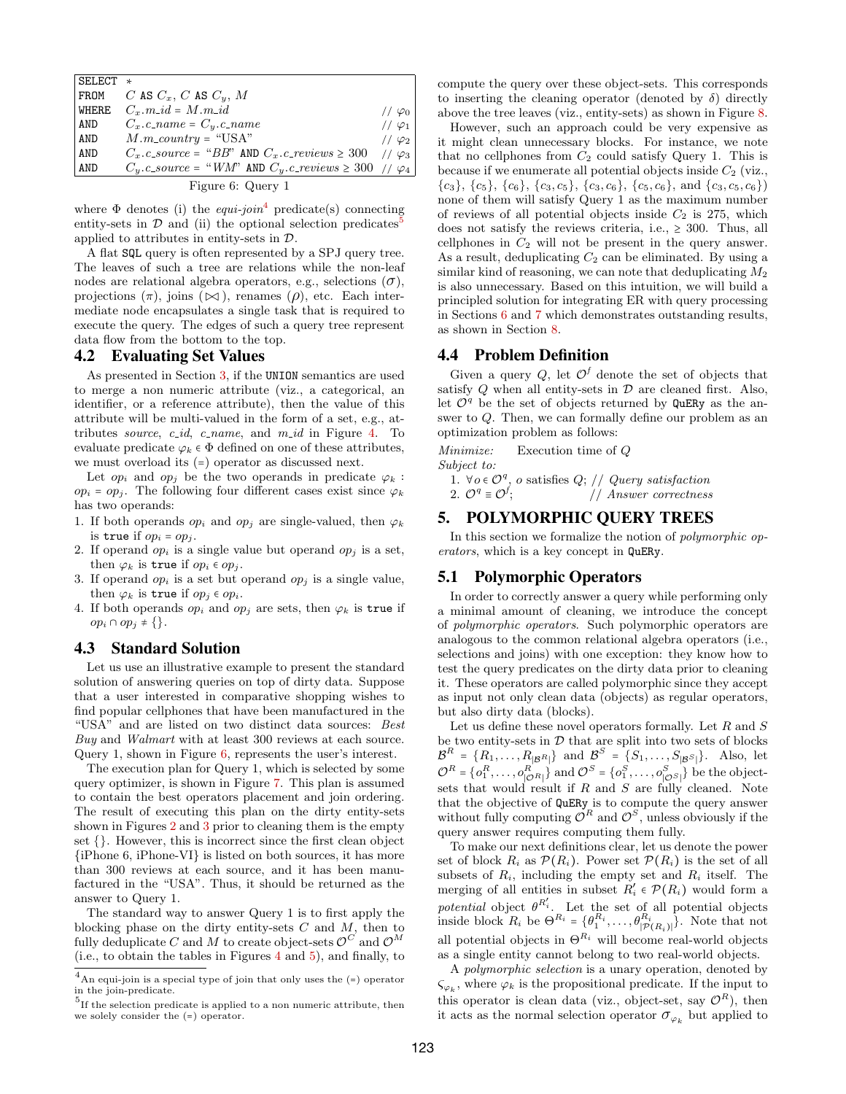<span id="page-3-6"></span>

| SELECT |                                                        |                 |
|--------|--------------------------------------------------------|-----------------|
| FROM   | C AS $C_x$ , C AS $C_y$ , M                            |                 |
| WHERE  | $C_x.m\_id = M.m\_id$                                  | $11\ \varphi_0$ |
| AND    | $C_x.c$ -name = $C_y.c$ -name                          | $1/\varphi_1$   |
| AND    | $M.m\_countru = "USA"$                                 | $1/\varphi_2$   |
| AND    | $C_x.c\_source$ = "BB" AND $C_x.c\_review \ge 300$     | $1/\varphi_3$   |
| AND    | $C_y$ .c_source = "WM" AND $C_y$ .c_reviews $\geq 300$ | $1/\varphi_4$   |
|        | Figure 6: Query 1                                      |                 |

where  $\Phi$  denotes (i) the *equi-join*<sup>[4](#page-3-4)</sup> predicate(s) connecting entity-sets in  $\mathcal D$  and (ii) the optional selection predicates<sup>[5](#page-3-5)</sup> applied to attributes in entity-sets in D.

A flat SQL query is often represented by a SPJ query tree. The leaves of such a tree are relations while the non-leaf nodes are relational algebra operators, e.g., selections  $(\sigma)$ , projections  $(\pi)$ , joins  $(\infty)$ , renames  $(\rho)$ , etc. Each intermediate node encapsulates a single task that is required to execute the query. The edges of such a query tree represent data flow from the bottom to the top.

#### <span id="page-3-1"></span>4.2 Evaluating Set Values

As presented in Section [3,](#page-1-8) if the UNION semantics are used to merge a non numeric attribute (viz., a categorical, an identifier, or a reference attribute), then the value of this attribute will be multi-valued in the form of a set, e.g., attributes source,  $c\_id$ ,  $c\_name$ , and  $m\_id$  in Figure [4.](#page-2-2) To evaluate predicate  $\varphi_k \in \Phi$  defined on one of these attributes, we must overload its (=) operator as discussed next.

Let  $op_i$  and  $op_j$  be the two operands in predicate  $\varphi_k$ :  $op_i = op_j$ . The following four different cases exist since  $\varphi_k$ has two operands:

- 1. If both operands  $op_i$  and  $op_j$  are single-valued, then  $\varphi_k$ is true if  $op_i = op_i$ .
- 2. If operand  $op_i$  is a single value but operand  $op_i$  is a set, then  $\varphi_k$  is true if  $op_i \in op_i$ .
- 3. If operand  $op_i$  is a set but operand  $op_i$  is a single value, then  $\varphi_k$  is true if  $op_j \in op_i$ .
- 4. If both operands  $op_i$  and  $op_j$  are sets, then  $\varphi_k$  is true if  $op_i \cap op_j \neq \{\}.$

### <span id="page-3-2"></span>4.3 Standard Solution

Let us use an illustrative example to present the standard solution of answering queries on top of dirty data. Suppose that a user interested in comparative shopping wishes to find popular cellphones that have been manufactured in the "USA" and are listed on two distinct data sources: Best Buy and Walmart with at least 300 reviews at each source. Query 1, shown in Figure [6,](#page-3-6) represents the user's interest.

The execution plan for Query 1, which is selected by some query optimizer, is shown in Figure [7.](#page-4-0) This plan is assumed to contain the best operators placement and join ordering. The result of executing this plan on the dirty entity-sets shown in Figures [2](#page-1-3) and [3](#page-1-4) prior to cleaning them is the empty set {}. However, this is incorrect since the first clean object {iPhone 6, iPhone-VI} is listed on both sources, it has more than 300 reviews at each source, and it has been manufactured in the "USA". Thus, it should be returned as the answer to Query 1.

The standard way to answer Query 1 is to first apply the blocking phase on the dirty entity-sets  $C$  and  $M$ , then to fully deduplicate  $C$  and  $M$  to create object-sets  $\mathcal{O}^C$  and  $\mathcal{O}^M$ (i.e., to obtain the tables in Figures [4](#page-2-2) and [5\)](#page-2-3), and finally, to

compute the query over these object-sets. This corresponds to inserting the cleaning operator (denoted by  $\delta$ ) directly above the tree leaves (viz., entity-sets) as shown in Figure [8.](#page-4-0)

However, such an approach could be very expensive as it might clean unnecessary blocks. For instance, we note that no cellphones from  $C_2$  could satisfy Query 1. This is because if we enumerate all potential objects inside  $C_2$  (viz.,  ${c_3}, {c_5}, {c_6}, {c_6}, {c_3, c_5}, {c_3, c_6}, {c_5, c_6}, \text{and } {c_3, c_5, c_6}$ none of them will satisfy Query 1 as the maximum number of reviews of all potential objects inside  $C_2$  is 275, which does not satisfy the reviews criteria, i.e.,  $\geq 300$ . Thus, all cellphones in  $C_2$  will not be present in the query answer. As a result, deduplicating  $C_2$  can be eliminated. By using a similar kind of reasoning, we can note that deduplicating  $M_2$ is also unnecessary. Based on this intuition, we will build a principled solution for integrating ER with query processing in Sections [6](#page-5-0) and [7](#page-7-0) which demonstrates outstanding results, as shown in Section [8.](#page-8-0)

### <span id="page-3-3"></span>4.4 Problem Definition

Given a query  $Q$ , let  $\mathcal{O}^f$  denote the set of objects that satisfy  $Q$  when all entity-sets in  $D$  are cleaned first. Also, let  $\mathcal{O}^q$  be the set of objects returned by QuERy as the answer to Q. Then, we can formally define our problem as an optimization problem as follows:

Minimize: Execution time of Q

Subject to:

1. ∀o ∈  $\mathcal{O}^q$ , o satisfies  $Q$ ; // Query satisfaction

#### 2.  $\mathcal{O}^q \equiv \mathcal{O}^f$ ; // Answer correctness

### <span id="page-3-0"></span>5. POLYMORPHIC QUERY TREES

In this section we formalize the notion of polymorphic operators, which is a key concept in QuERy.

### 5.1 Polymorphic Operators

In order to correctly answer a query while performing only a minimal amount of cleaning, we introduce the concept of polymorphic operators. Such polymorphic operators are analogous to the common relational algebra operators (i.e., selections and joins) with one exception: they know how to test the query predicates on the dirty data prior to cleaning it. These operators are called polymorphic since they accept as input not only clean data (objects) as regular operators, but also dirty data (blocks).

Let us define these novel operators formally. Let  $R$  and  $S$ be two entity-sets in  $D$  that are split into two sets of blocks  $\mathcal{B}^R = \{R_1, \ldots, R_{|\mathcal{B}^R|}\}\$ and  $\mathcal{B}^S = \{S_1, \ldots, S_{|\mathcal{B}^S|}\}\$ . Also, let  $\mathcal{O}^R = \{o_1^R, \ldots, o_{|\mathcal{O}^R|}^R\}$  and  $\mathcal{O}^S = \{o_1^S, \ldots, o_{|\mathcal{O}^S|}^S\}$  be the objectsets that would result if  $R$  and  $S$  are fully cleaned. Note that the objective of QuERy is to compute the query answer without fully computing  $\mathcal{O}^R$  and  $\mathcal{O}^S$ , unless obviously if the query answer requires computing them fully.

To make our next definitions clear, let us denote the power set of block  $R_i$  as  $\mathcal{P}(R_i)$ . Power set  $\mathcal{P}(R_i)$  is the set of all subsets of  $R_i$ , including the empty set and  $R_i$  itself. The merging of all entities in subset  $R'_i \in \mathcal{P}(R_i)$  would form a potential object  $\theta^{R'_i}$ . Let the set of all potential objects inside block  $R_i$  be  $\Theta^{R_i} = \{\theta_1^{R_i}, \dots, \theta_{|\mathcal{P}(R_i)|}^{R_i}\}$ . Note that not all potential objects in  $\Theta^{R_i}$  will become real-world objects as a single entity cannot belong to two real-world objects.

A polymorphic selection is a unary operation, denoted by  $\zeta_{\varphi_k}$ , where  $\varphi_k$  is the propositional predicate. If the input to this operator is clean data (viz., object-set, say  $\mathcal{O}^R$ ), then it acts as the normal selection operator  $\sigma_{\varphi_k}$  but applied to

<span id="page-3-4"></span> $4$ An equi-join is a special type of join that only uses the  $(=)$  operator in the join-predicate.

<span id="page-3-5"></span><sup>5</sup> If the selection predicate is applied to a non numeric attribute, then we solely consider the (=) operator.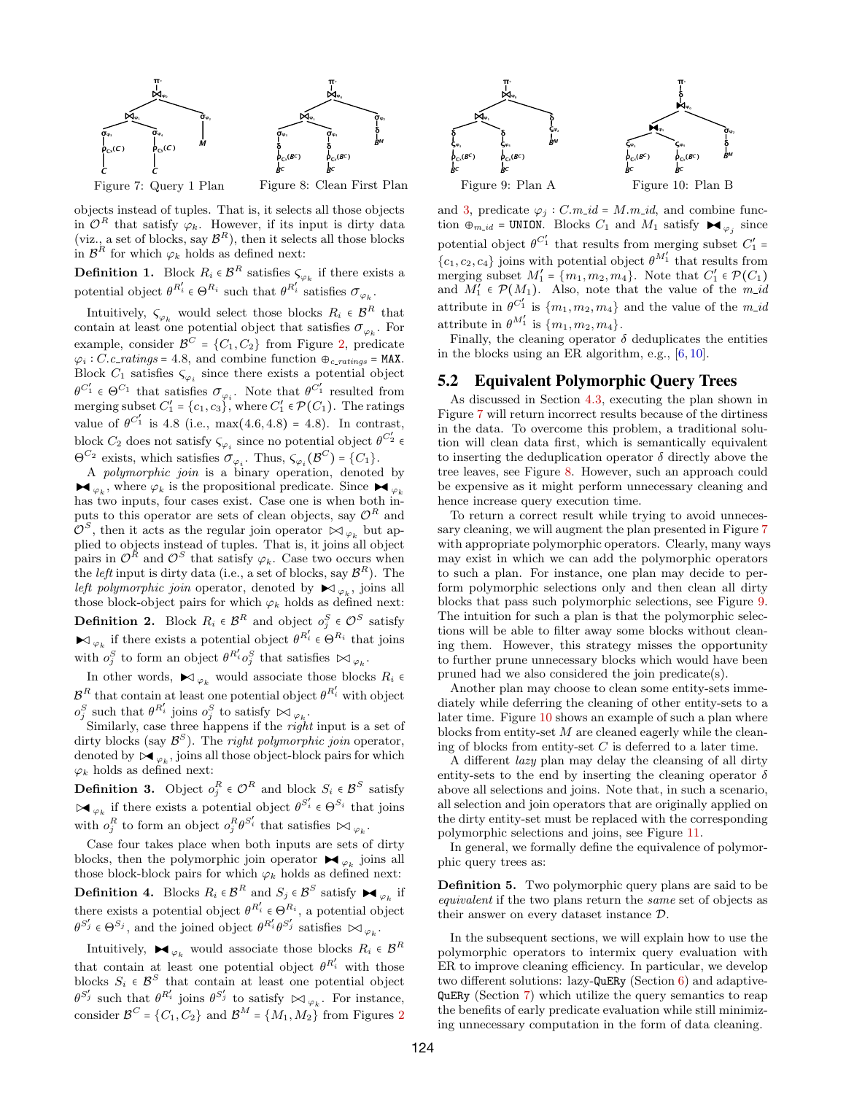<span id="page-4-0"></span>

objects instead of tuples. That is, it selects all those objects in  $\mathcal{O}^R$  that satisfy  $\varphi_k$ . However, if its input is dirty data (viz., a set of blocks, say  $\mathcal{B}^R$ ), then it selects all those blocks in  $\mathcal{B}^R$  for which  $\varphi_k$  holds as defined next:

**Definition 1.** Block  $R_i \in \mathcal{B}^R$  satisfies  $\zeta_{\varphi_k}$  if there exists a potential object  $\theta^{R'_i} \in \Theta^{R_i}$  such that  $\theta^{R'_i}$  satisfies  $\sigma_{\varphi_k}$ .

Intuitively,  $\zeta_{\varphi_k}$  would select those blocks  $R_i \in \mathcal{B}^R$  that contain at least one potential object that satisfies  $\sigma_{\varphi_k}$ . For example, consider  $\mathcal{B}^C = \{C_1, C_2\}$  from Figure [2,](#page-1-3) predicate  $\varphi_i : C.c.ratings = 4.8$ , and combine function  $\oplus_{c.ratings}$  = MAX. Block  $C_1$  satisfies  $\zeta_{\varphi_i}$  since there exists a potential object  $\theta^{C'_1} \in \Theta^{C_1}$  that satisfies  $\sigma_{\varphi_i}$ . Note that  $\theta^{C'_1}$  resulted from merging subset  $C'_1 = \{c_1, c_3\}$ , where  $C'_1 \in \mathcal{P}(C_1)$ . The ratings value of  $\theta^{C'_1}$  is 4.8 (i.e., max(4.6, 4.8) = 4.8). In contrast, block  $C_2$  does not satisfy  $\varsigma_{\varphi_i}$  since no potential object  $\theta^{C_2'}$  e  $\Theta^{C_2}$  exists, which satisfies  $\sigma_{\varphi_i}$ . Thus,  $\varsigma_{\varphi_i}(\mathcal{B}^C) = \{C_1\}.$ 

A polymorphic join is a binary operation, denoted by  $\blacktriangleright \blacktriangleleft_{\varphi_k}$ , where  $\varphi_k$  is the propositional predicate. Since  $\blacktriangleright \blacktriangleleft_{\varphi_k}$ has two inputs, four cases exist. Case one is when both inputs to this operator are sets of clean objects, say  $\mathcal{O}^R$  and  $\mathcal{O}^S$ , then it acts as the regular join operator  $\bowtie_{\varphi_k}$  but applied to objects instead of tuples. That is, it joins all object pairs in  $\mathcal{O}^R$  and  $\mathcal{O}^S$  that satisfy  $\varphi_k$ . Case two occurs when the *left* input is dirty data (i.e., a set of blocks, say  $\mathcal{B}^R$ ). The left polymorphic join operator, denoted by  $\blacktriangleright \langle \varphi_k, \varphi_k \rangle$  joins all those block-object pairs for which  $\varphi_k$  holds as defined next: **Definition 2.** Block  $R_i \in \mathcal{B}^R$  and object  $o_j^S \in \mathcal{O}^S$  satisfy  $\blacktriangleright$   $\triangleleft$   $\varphi_k$  if there exists a potential object  $\theta^{R'_i} \in \Theta^{R_i}$  that joins with  $o_j^S$  to form an object  $\theta^{R'_i} o_j^S$  that satisfies  $\bowtie_{\varphi_k}$ .

In other words,  $\bigotimes_{\varphi_k}$  would associate those blocks  $R_i \in$  $\mathcal{B}^R$  that contain at least one potential object  $\theta^{R'_i}$  with object  $o_j^S$  such that  $\theta^{R'_i}$  joins  $o_j^S$  to satisfy  $\bowtie_{\varphi_k}$ .

Similarly, case three happens if the  $right$  input is a set of dirty blocks (say  $\mathcal{B}^S$ ). The *right polymorphic join* operator, denoted by  $\triangleright \blacktriangleleft_{\varphi_k}$ , joins all those object-block pairs for which  $\varphi_k$  holds as defined next:

**Definition 3.** Object  $o_j^R \in \mathcal{O}^R$  and block  $S_i \in \mathcal{B}^S$  satisfy  $\blacktriangleright \blacktriangleleft_{\varphi_k}$  if there exists a potential object  $\theta^{S'_i} \in \Theta^{S_i}$  that joins with  $o_j^R$  to form an object  $o_j^R \theta^{S_i'}$  that satisfies  $\bowtie_{\varphi_k}$ .

Case four takes place when both inputs are sets of dirty blocks, then the polymorphic join operator  $\blacktriangleright \blacktriangleleft_{\varphi_k}$  joins all those block-block pairs for which  $\varphi_k$  holds as defined next:

**Definition 4.** Blocks  $R_i \in \mathcal{B}^R$  and  $S_j \in \mathcal{B}^S$  satisfy  $\blacktriangleright \blacktriangleleft_{\varphi_k}$  if there exists a potential object  $\theta^{R'_i} \in \Theta^{R_i}$ , a potential object  $\theta^{S'_j} \in \Theta^{S_j}$ , and the joined object  $\theta^{R'_i} \theta^{S'_j}$  satisfies  $\bowtie_{\varphi_k}$ .

Intuitively,  $\blacktriangleright \blacktriangleleft_{\varphi_k}$  would associate those blocks  $R_i \in \mathcal{B}^R$ that contain at least one potential object  $\theta^{R'_i}$  with those blocks  $S_i \in \mathcal{B}^S$  that contain at least one potential object  $\theta^{S'_j}$  such that  $\theta^{R'_i}$  joins  $\theta^{S'_j}$  to satisfy  $\bowtie_{\varphi_k}$ . For instance, consider  $\mathcal{B}^C$  = { $C_1, C_2$  $C_1, C_2$ } and  $\mathcal{B}^M$  = { $M_1, M_2$ } from Figures 2



and [3,](#page-1-4) predicate  $\varphi_i$ : C.m\_id = M.m\_id, and combine function  $\oplus_{m_id}$  = UNION. Blocks  $C_1$  and  $M_1$  satisfy  $\blacktriangleright \blacktriangleleft_{\varphi_j}$  since potential object  $\theta^{C'_1}$  that results from merging subset  $C'_1$  =  $\{c_1, c_2, c_4\}$  joins with potential object  $\theta^{M'_1}$  that results from merging subset  $M'_1 = \{m_1, m_2, m_4\}$ . Note that  $C'_1 \in \mathcal{P}(C_1)$ and  $M_1 \in \mathcal{P}(M_1)$ . Also, note that the value of the  $m_id$ attribute in  $\hat{\theta}^{C'_1}$  is  $\{m_1, m_2, m_4\}$  and the value of the m.id attribute in  $\theta^{M'_1}$  is  $\{m_1, m_2, m_4\}.$ 

Finally, the cleaning operator  $\delta$  deduplicates the entities in the blocks using an ER algorithm, e.g., [\[6,](#page-11-2) [10\]](#page-11-3).

### 5.2 Equivalent Polymorphic Query Trees

As discussed in Section [4.3,](#page-3-2) executing the plan shown in Figure [7](#page-4-0) will return incorrect results because of the dirtiness in the data. To overcome this problem, a traditional solution will clean data first, which is semantically equivalent to inserting the deduplication operator  $\delta$  directly above the tree leaves, see Figure [8.](#page-4-0) However, such an approach could be expensive as it might perform unnecessary cleaning and hence increase query execution time.

To return a correct result while trying to avoid unnecessary cleaning, we will augment the plan presented in Figure [7](#page-4-0) with appropriate polymorphic operators. Clearly, many ways may exist in which we can add the polymorphic operators to such a plan. For instance, one plan may decide to perform polymorphic selections only and then clean all dirty blocks that pass such polymorphic selections, see Figure [9.](#page-4-0) The intuition for such a plan is that the polymorphic selections will be able to filter away some blocks without cleaning them. However, this strategy misses the opportunity to further prune unnecessary blocks which would have been pruned had we also considered the join predicate(s).

Another plan may choose to clean some entity-sets immediately while deferring the cleaning of other entity-sets to a later time. Figure [10](#page-4-0) shows an example of such a plan where blocks from entity-set  $M$  are cleaned eagerly while the cleaning of blocks from entity-set  $C$  is deferred to a later time.

A different lazy plan may delay the cleansing of all dirty entity-sets to the end by inserting the cleaning operator  $\delta$ above all selections and joins. Note that, in such a scenario, all selection and join operators that are originally applied on the dirty entity-set must be replaced with the corresponding polymorphic selections and joins, see Figure [11.](#page-5-1)

In general, we formally define the equivalence of polymorphic query trees as:

Definition 5. Two polymorphic query plans are said to be equivalent if the two plans return the same set of objects as their answer on every dataset instance D.

In the subsequent sections, we will explain how to use the polymorphic operators to intermix query evaluation with ER to improve cleaning efficiency. In particular, we develop two different solutions: lazy-QuERy (Section [6\)](#page-5-0) and adaptive-QuERy (Section [7\)](#page-7-0) which utilize the query semantics to reap the benefits of early predicate evaluation while still minimizing unnecessary computation in the form of data cleaning.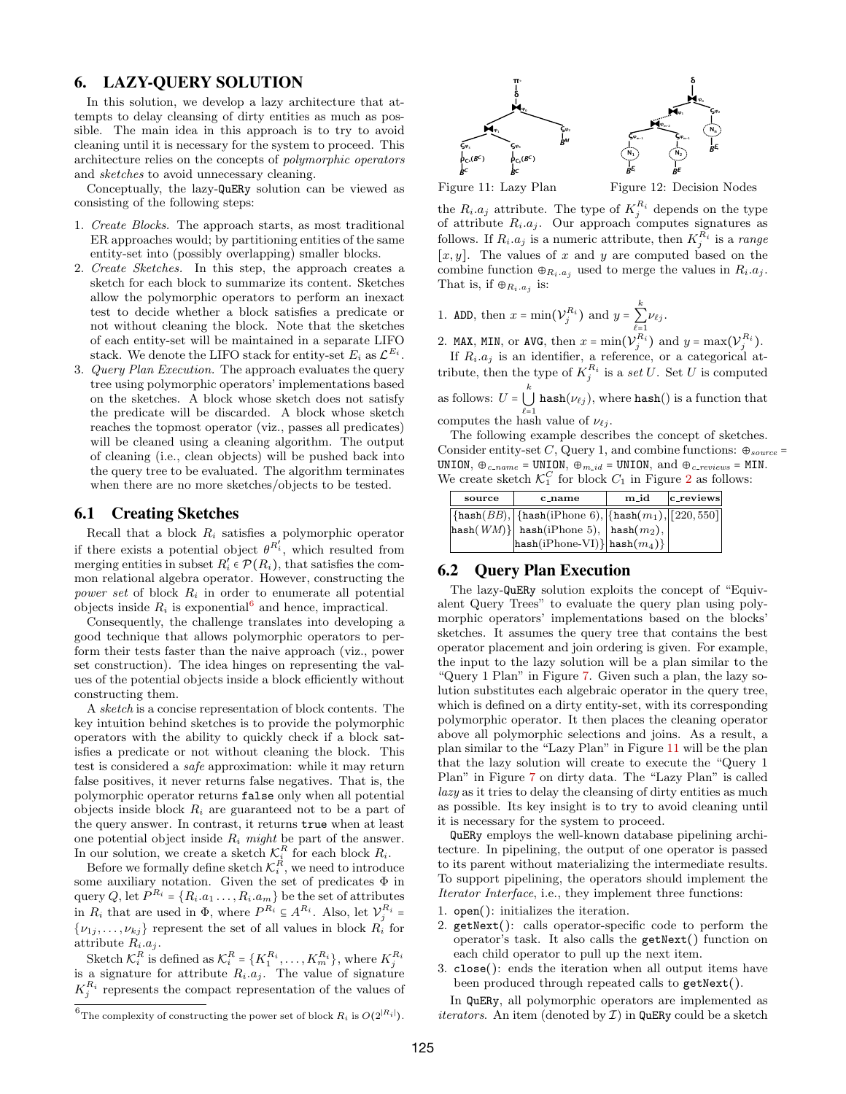### <span id="page-5-0"></span>6. LAZY-QUERY SOLUTION

In this solution, we develop a lazy architecture that attempts to delay cleansing of dirty entities as much as possible. The main idea in this approach is to try to avoid cleaning until it is necessary for the system to proceed. This architecture relies on the concepts of polymorphic operators and sketches to avoid unnecessary cleaning.

Conceptually, the lazy-QuERy solution can be viewed as consisting of the following steps:

- 1. Create Blocks. The approach starts, as most traditional ER approaches would; by partitioning entities of the same entity-set into (possibly overlapping) smaller blocks.
- 2. Create Sketches. In this step, the approach creates a sketch for each block to summarize its content. Sketches allow the polymorphic operators to perform an inexact test to decide whether a block satisfies a predicate or not without cleaning the block. Note that the sketches of each entity-set will be maintained in a separate LIFO stack. We denote the LIFO stack for entity-set  $E_i$  as  $\mathcal{L}^{E_i}$ .
- 3. Query Plan Execution. The approach evaluates the query tree using polymorphic operators' implementations based on the sketches. A block whose sketch does not satisfy the predicate will be discarded. A block whose sketch reaches the topmost operator (viz., passes all predicates) will be cleaned using a cleaning algorithm. The output of cleaning (i.e., clean objects) will be pushed back into the query tree to be evaluated. The algorithm terminates when there are no more sketches/objects to be tested.

#### 6.1 Creating Sketches

Recall that a block  $R_i$  satisfies a polymorphic operator if there exists a potential object  $\theta^{R'_i}$ , which resulted from merging entities in subset  $R'_i \in \mathcal{P}(R_i)$ , that satisfies the common relational algebra operator. However, constructing the power set of block  $R_i$  in order to enumerate all potential objects inside  $R_i$  is exponential<sup>[6](#page-5-2)</sup> and hence, impractical.

Consequently, the challenge translates into developing a good technique that allows polymorphic operators to perform their tests faster than the naive approach (viz., power set construction). The idea hinges on representing the values of the potential objects inside a block efficiently without constructing them.

A sketch is a concise representation of block contents. The key intuition behind sketches is to provide the polymorphic operators with the ability to quickly check if a block satisfies a predicate or not without cleaning the block. This test is considered a safe approximation: while it may return false positives, it never returns false negatives. That is, the polymorphic operator returns false only when all potential objects inside block  $R_i$  are guaranteed not to be a part of the query answer. In contrast, it returns true when at least one potential object inside  $R_i$  might be part of the answer. In our solution, we create a sketch  $\mathcal{K}_i^R$  for each block  $R_i$ .

Before we formally define sketch  $\mathcal{K}_i^R$ , we need to introduce some auxiliary notation. Given the set of predicates Φ in query Q, let  $P^{R_i} = \{R_i.a_1 \ldots, R_i.a_m\}$  be the set of attributes in  $R_i$  that are used in  $\Phi$ , where  $P^{R_i} \subseteq A^{R_i}$ . Also, let  $\mathcal{V}_j^{R_i} =$  $\{\nu_{1j},\ldots,\nu_{kj}\}\}$  represent the set of all values in block  $R_i^{j}$  for attribute  $R_i.a_i$ .

Sketch  $\mathcal{K}_i^R$  is defined as  $\mathcal{K}_i^R = \{K_1^{R_i}, \ldots, K_m^{R_i}\}$ , where  $K_j^{R_i}$  is a signature for attribute  $R_i.a_j$ . The value of signature  $K_j^{R_i}$  represents the compact representation of the values of

<span id="page-5-1"></span>

Figure 11: Lazy Plan

Figure 12: Decision Nodes

the  $R_i.a_j$  attribute. The type of  $K_j^{R_i}$  depends on the type of attribute  $R_i.a_j$ . Our approach computes signatures as follows. If  $R_i.a_j$  is a numeric attribute, then  $K_j^{R_i}$  is a range  $[x, y]$ . The values of x and y are computed based on the combine function  $\oplus_{R_i.a_j}$  used to merge the values in  $R_i.a_j$ . That is, if  $\oplus_{R_i} a_j$  is:

1. ADD, then 
$$
x = \min(V_j^{R_i})
$$
 and  $y = \sum_{\ell=1}^k \nu_{\ell j}$ .

2. MAX, MIN, or AVG, then  $x = \min(\mathcal{V}_j^{R_i})$  and  $y = \max(\mathcal{V}_j^{R_i})$ .

If  $R_i.a_j$  is an identifier, a reference, or a categorical attribute, then the type of  $K_j^{R_i}$  is a set U. Set U is computed

as follows:  $U = \bigcup_{k=1}^{k} A_k$  $\bigcup_{\ell=1}$  hash $(\nu_{\ell j})$ , where hash() is a function that computes the hash value of  $\nu_{\ell j}$ .

The following example describes the concept of sketches. Consider entity-set C, Query 1, and combine functions:  $\oplus_{source}$  = UNION,  $\oplus_{c\_name}$  = UNION,  $\oplus_{m\_id}$  = UNION, and  $\oplus_{c\_reviews}$  = MIN. We create sketch  $\mathcal{K}_1^C$  for block  $C_1$  in Figure [2](#page-1-3) as follows:

| source | c_name                                                                                     | m_id | $ c_{reviews} $ |
|--------|--------------------------------------------------------------------------------------------|------|-----------------|
|        | $ \{\texttt{hash}(BB), \{\texttt{hash}(iPhone 6), \{\texttt{hash}(m_1), [220,550] \}$      |      |                 |
|        | $\vert$ hash $(WM)\vert$ hash $(iPhone 5)$ , $\vert$ hash $(m_2)$ ,                        |      |                 |
|        | $\left \texttt{hash}(\text{iPhone-VI})\right\rangle \left \texttt{hash}(m_4)\right\rangle$ |      |                 |

### 6.2 Query Plan Execution

The lazy-QuERy solution exploits the concept of "Equivalent Query Trees" to evaluate the query plan using polymorphic operators' implementations based on the blocks' sketches. It assumes the query tree that contains the best operator placement and join ordering is given. For example, the input to the lazy solution will be a plan similar to the "Query 1 Plan" in Figure [7.](#page-4-0) Given such a plan, the lazy solution substitutes each algebraic operator in the query tree, which is defined on a dirty entity-set, with its corresponding polymorphic operator. It then places the cleaning operator above all polymorphic selections and joins. As a result, a plan similar to the "Lazy Plan" in Figure [11](#page-5-1) will be the plan that the lazy solution will create to execute the "Query 1 Plan" in Figure [7](#page-4-0) on dirty data. The "Lazy Plan" is called lazy as it tries to delay the cleansing of dirty entities as much as possible. Its key insight is to try to avoid cleaning until it is necessary for the system to proceed.

QuERy employs the well-known database pipelining architecture. In pipelining, the output of one operator is passed to its parent without materializing the intermediate results. To support pipelining, the operators should implement the Iterator Interface, i.e., they implement three functions:

- 1. open(): initializes the iteration.
- 2. getNext(): calls operator-specific code to perform the operator's task. It also calls the getNext() function on each child operator to pull up the next item.
- 3. close(): ends the iteration when all output items have been produced through repeated calls to getNext().

In QuERy, all polymorphic operators are implemented as *iterators*. An item (denoted by  $\mathcal{I}$ ) in QuERy could be a sketch

<span id="page-5-2"></span><sup>&</sup>lt;sup>6</sup>The complexity of constructing the power set of block  $R_i$  is  $O(2^{|R_i|})$ .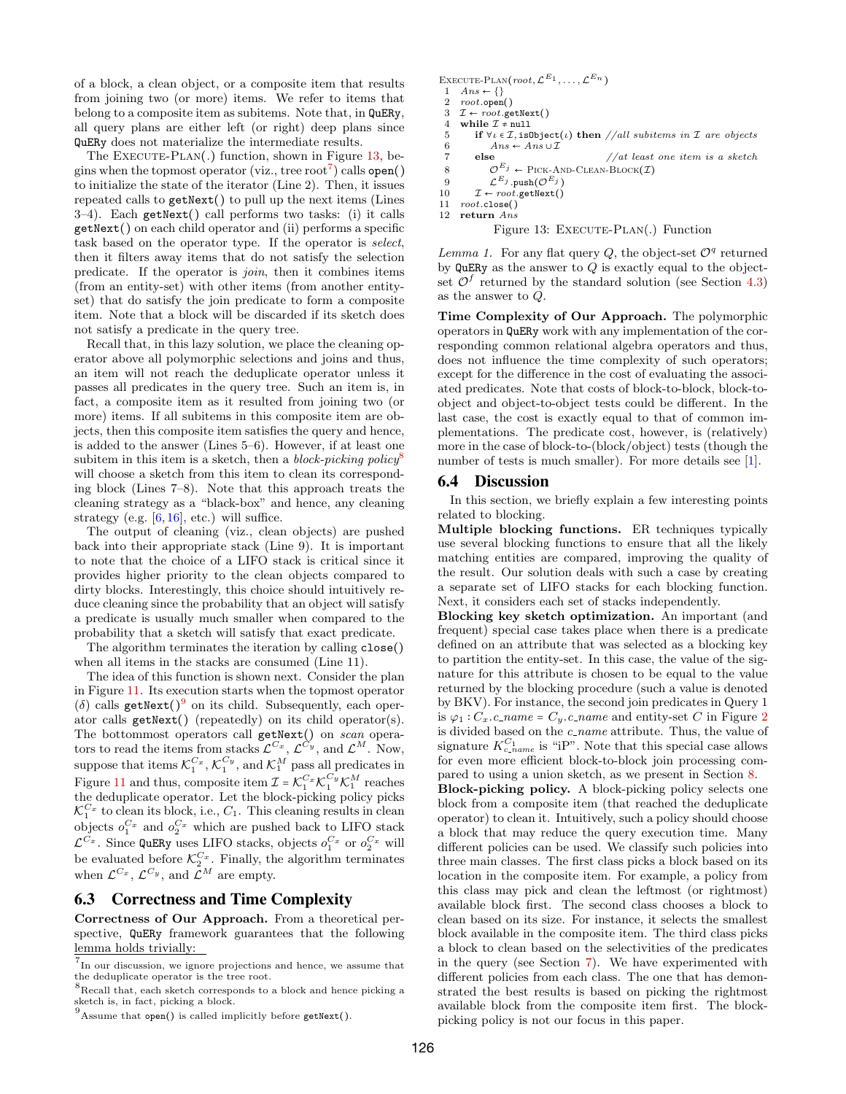of a block, a clean object, or a composite item that results from joining two (or more) items. We refer to items that belong to a composite item as subitems. Note that, in QuERy, all query plans are either left (or right) deep plans since QuERy does not materialize the intermediate results.

The EXECUTE-PLAN(.) function, shown in Figure [13,](#page-6-0) begins when the topmost operator (viz., tree  $\text{root}^7$  $\text{root}^7$ ) calls  $\text{open}()$ to initialize the state of the iterator (Line 2). Then, it issues repeated calls to getNext() to pull up the next items (Lines 3–4). Each getNext() call performs two tasks: (i) it calls getNext() on each child operator and (ii) performs a specific task based on the operator type. If the operator is select, then it filters away items that do not satisfy the selection predicate. If the operator is join, then it combines items (from an entity-set) with other items (from another entityset) that do satisfy the join predicate to form a composite item. Note that a block will be discarded if its sketch does not satisfy a predicate in the query tree.

Recall that, in this lazy solution, we place the cleaning operator above all polymorphic selections and joins and thus, an item will not reach the deduplicate operator unless it passes all predicates in the query tree. Such an item is, in fact, a composite item as it resulted from joining two (or more) items. If all subitems in this composite item are objects, then this composite item satisfies the query and hence, is added to the answer (Lines 5–6). However, if at least one subitem in this item is a sketch, then a *block-picking policy* will choose a sketch from this item to clean its corresponding block (Lines 7–8). Note that this approach treats the cleaning strategy as a "black-box" and hence, any cleaning strategy (e.g.  $[6, 16]$  $[6, 16]$  $[6, 16]$ , etc.) will suffice.

The output of cleaning (viz., clean objects) are pushed back into their appropriate stack (Line 9). It is important to note that the choice of a LIFO stack is critical since it provides higher priority to the clean objects compared to dirty blocks. Interestingly, this choice should intuitively reduce cleaning since the probability that an object will satisfy a predicate is usually much smaller when compared to the probability that a sketch will satisfy that exact predicate.

The algorithm terminates the iteration by calling close() when all items in the stacks are consumed (Line 11).

The idea of this function is shown next. Consider the plan in Figure [11.](#page-5-1) Its execution starts when the topmost operator ( $\delta$ ) calls getNext()<sup>[9](#page-6-3)</sup> on its child. Subsequently, each operator calls getNext() (repeatedly) on its child operator(s). The bottommost operators call getNext() on scan operators to read the items from stacks  $\mathcal{L}^{C_x}$ ,  $\mathcal{L}^{C_y}$ , and  $\mathcal{L}^M$ . Now, suppose that items  $\mathcal{K}_1^{C_x}, \mathcal{K}_1^{C_y}$ , and  $\mathcal{K}_1^M$  pass all predicates in Figure [11](#page-5-1) and thus, composite item  $\mathcal{I} = \mathcal{K}_1^{C_x} \mathcal{K}_1^{C_y} \mathcal{K}_1^M$  reaches the deduplicate operator. Let the block-picking policy picks  $\mathcal{K}_1^{C_x}$  to clean its block, i.e.,  $C_1$ . This cleaning results in clean objects  $o_1^{C_x}$  and  $o_2^{C_x}$  which are pushed back to LIFO stack  $\mathcal{L}^{C_x}$ . Since QuERy uses LIFO stacks, objects  $o_1^{C_x}$  or  $o_2^{C_x}$  will be evaluated before  $\mathcal{K}_2^{C_x}$ . Finally, the algorithm terminates when  $\mathcal{L}^{C_x}$ ,  $\mathcal{L}^{C_y}$ , and  $\mathcal{L}^M$  are empty.

### 6.3 Correctness and Time Complexity

Correctness of Our Approach. From a theoretical perspective, QuERy framework guarantees that the following lemma holds trivially:

```
EXECUTE-PLAN(root, \mathcal{L}^{E_1}, \ldots, \mathcal{L}^{E_n})
```

```
1 Ans \leftarrow \{\}<br>2 root.open
```

```
2 root.open()<br>3 \mathcal{I} \leftarrow root.get
```

```
3 \mathcal{I} \leftarrow root.getNext()<br>4 while \mathcal{I} \neq null
```

```
4 while \mathcal{I} \neq \text{null}<br>5 if \forall \iota \in \mathcal{I}, is 0
5 if \forall \iota \in \mathcal{I}, is\mathsf{Object}(\iota) then //all subitems in \mathcal I are objects Ans \leftarrow Ans \cup \mathcal{I}
```

```
6 Ans \leftarrow Ans \cup \mathcal{I}<br>7 else
```

```
\epsilon //at least one item is a sketch
```

```
8 \mathcal{O}^{E_j} \leftarrow PICK-AND-CLEAN-BLOCK(\mathcal{I})
```

```
9 \mathcal{L}^{E_j}.push(\mathcal{O}^{E_j})
```

```
10 \mathcal{I} \leftarrow root.\text{getNext}()<br>11 root.\text{close()}
```

```
11 root.close()<br>12 return Ansreturn Ans
```

```
Figure 13: EXECUTE-PLAN(.) Function
```
Lemma 1. For any flat query  $Q$ , the object-set  $\mathcal{O}^q$  returned by QuERy as the answer to  $Q$  is exactly equal to the objectset  $\mathcal{O}^f$  returned by the standard solution (see Section [4.3\)](#page-3-2) as the answer to Q.

Time Complexity of Our Approach. The polymorphic operators in QuERy work with any implementation of the corresponding common relational algebra operators and thus, does not influence the time complexity of such operators; except for the difference in the cost of evaluating the associated predicates. Note that costs of block-to-block, block-toobject and object-to-object tests could be different. In the last case, the cost is exactly equal to that of common implementations. The predicate cost, however, is (relatively) more in the case of block-to-(block/object) tests (though the number of tests is much smaller). For more details see [\[1\]](#page-11-11).

### 6.4 Discussion

In this section, we briefly explain a few interesting points related to blocking.

Multiple blocking functions. ER techniques typically use several blocking functions to ensure that all the likely matching entities are compared, improving the quality of the result. Our solution deals with such a case by creating a separate set of LIFO stacks for each blocking function. Next, it considers each set of stacks independently.

Blocking key sketch optimization. An important (and frequent) special case takes place when there is a predicate defined on an attribute that was selected as a blocking key to partition the entity-set. In this case, the value of the signature for this attribute is chosen to be equal to the value returned by the blocking procedure (such a value is denoted by BKV). For instance, the second join predicates in Query 1 is  $\varphi_1$ :  $C_x$ .c\_name =  $C_y$ .c\_name and entity-set C in Figure [2](#page-1-3) is divided based on the  $c\_name$  attribute. Thus, the value of signature  $K_{c\_name}^{C_1}$  is "iP". Note that this special case allows for even more efficient block-to-block join processing compared to using a union sketch, as we present in Section [8.](#page-8-0)

Block-picking policy. A block-picking policy selects one block from a composite item (that reached the deduplicate operator) to clean it. Intuitively, such a policy should choose a block that may reduce the query execution time. Many different policies can be used. We classify such policies into three main classes. The first class picks a block based on its location in the composite item. For example, a policy from this class may pick and clean the leftmost (or rightmost) available block first. The second class chooses a block to clean based on its size. For instance, it selects the smallest block available in the composite item. The third class picks a block to clean based on the selectivities of the predicates in the query (see Section [7\)](#page-7-0). We have experimented with different policies from each class. The one that has demonstrated the best results is based on picking the rightmost available block from the composite item first. The blockpicking policy is not our focus in this paper.

<span id="page-6-1"></span><sup>7</sup> In our discussion, we ignore projections and hence, we assume that the deduplicate operator is the tree root.

<span id="page-6-2"></span> $8$ Recall that, each sketch corresponds to a block and hence picking a sketch is, in fact, picking a block.

<span id="page-6-3"></span>Assume that open() is called implicitly before getNext().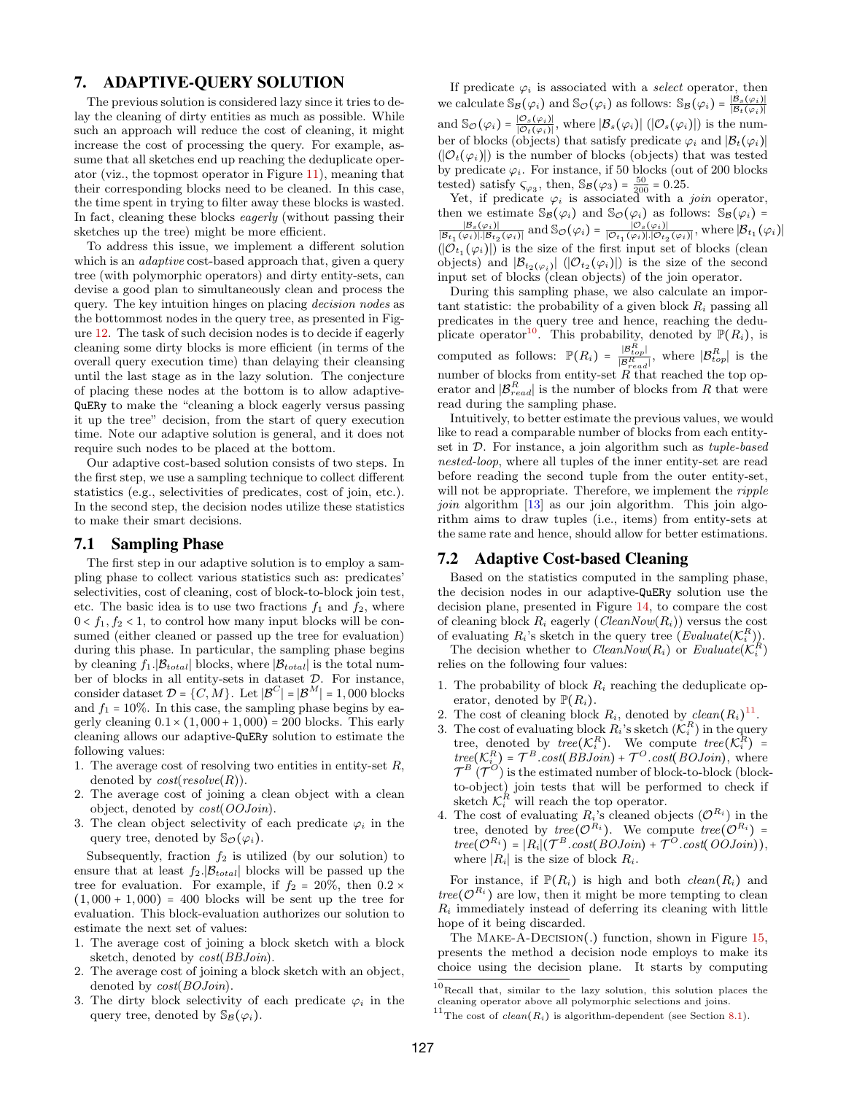### <span id="page-7-0"></span>7. ADAPTIVE-QUERY SOLUTION

The previous solution is considered lazy since it tries to delay the cleaning of dirty entities as much as possible. While such an approach will reduce the cost of cleaning, it might increase the cost of processing the query. For example, assume that all sketches end up reaching the deduplicate operator (viz., the topmost operator in Figure [11\)](#page-5-1), meaning that their corresponding blocks need to be cleaned. In this case, the time spent in trying to filter away these blocks is wasted. In fact, cleaning these blocks eagerly (without passing their sketches up the tree) might be more efficient.

To address this issue, we implement a different solution which is an *adaptive* cost-based approach that, given a query tree (with polymorphic operators) and dirty entity-sets, can devise a good plan to simultaneously clean and process the query. The key intuition hinges on placing decision nodes as the bottommost nodes in the query tree, as presented in Figure [12.](#page-5-1) The task of such decision nodes is to decide if eagerly cleaning some dirty blocks is more efficient (in terms of the overall query execution time) than delaying their cleansing until the last stage as in the lazy solution. The conjecture of placing these nodes at the bottom is to allow adaptive-QuERy to make the "cleaning a block eagerly versus passing it up the tree" decision, from the start of query execution time. Note our adaptive solution is general, and it does not require such nodes to be placed at the bottom.

Our adaptive cost-based solution consists of two steps. In the first step, we use a sampling technique to collect different statistics (e.g., selectivities of predicates, cost of join, etc.). In the second step, the decision nodes utilize these statistics to make their smart decisions.

#### 7.1 Sampling Phase

The first step in our adaptive solution is to employ a sampling phase to collect various statistics such as: predicates' selectivities, cost of cleaning, cost of block-to-block join test, etc. The basic idea is to use two fractions  $f_1$  and  $f_2$ , where  $0 < f_1, f_2 < 1$ , to control how many input blocks will be consumed (either cleaned or passed up the tree for evaluation) during this phase. In particular, the sampling phase begins by cleaning  $f_1$ .| $\beta_{total}$ | blocks, where  $|\beta_{total}|$  is the total number of blocks in all entity-sets in dataset D. For instance, consider dataset  $\mathcal{D} = \{C, M\}$ . Let  $|\mathcal{B}^C| = |\mathcal{B}^M| = 1,000$  blocks and  $f_1 = 10\%$ . In this case, the sampling phase begins by eagerly cleaning  $0.1 \times (1,000 + 1,000) = 200$  blocks. This early cleaning allows our adaptive-QuERy solution to estimate the following values:

- 1. The average cost of resolving two entities in entity-set  $R$ , denoted by  $cost(resolve(R))$ .
- 2. The average cost of joining a clean object with a clean object, denoted by cost(OOJoin).
- 3. The clean object selectivity of each predicate  $\varphi_i$  in the query tree, denoted by  $\mathbb{S}_{\mathcal{O}}(\varphi_i)$ .

Subsequently, fraction  $f_2$  is utilized (by our solution) to ensure that at least  $f_2$ .| $\beta_{total}$  blocks will be passed up the tree for evaluation. For example, if  $f_2 = 20\%$ , then  $0.2 \times$  $(1,000 + 1,000) = 400$  blocks will be sent up the tree for evaluation. This block-evaluation authorizes our solution to estimate the next set of values:

- 1. The average cost of joining a block sketch with a block sketch, denoted by  $cost(BBJoin)$ .
- 2. The average cost of joining a block sketch with an object, denoted by  $cost(BOJoin)$ .
- 3. The dirty block selectivity of each predicate  $\varphi_i$  in the query tree, denoted by  $\mathbb{S}_{\mathcal{B}}(\varphi_i)$ .

If predicate  $\varphi_i$  is associated with a *select* operator, then we calculate  $\mathbb{S}_{\mathcal{B}}(\varphi_i)$  and  $\mathbb{S}_{\mathcal{O}}(\varphi_i)$  as follows:  $\mathbb{S}_{\mathcal{B}}(\varphi_i) = \frac{|\mathcal{B}_s(\varphi_i)|}{|\mathcal{B}_t(\varphi_i)|}$ , where  $|\mathcal{B}_s(\varphi_i)|$   $(|\mathcal{O}_s(\varphi_i)|)$  is the number of blocks (objects) that satisfy predicate  $\varphi_i$  and  $|\mathcal{B}_t(\varphi_i)|$  $(|\mathcal{O}_t(\varphi_i)|)$  is the number of blocks (objects) that was tested by predicate  $\varphi_i$ . For instance, if 50 blocks (out of 200 blocks tested) satisfy  $\zeta_{\varphi_3}$ , then,  $\mathbb{S}_{\mathcal{B}}(\varphi_3) = \frac{50}{200} = 0.25$ .

Yet, if predicate  $\varphi_i$  is associated with a *join* operator, then we estimate  $\mathbb{S}_{\mathcal{B}}(\varphi_i)$  and  $\mathbb{S}_{\mathcal{O}}(\varphi_i)$  as follows:  $\mathbb{S}_{\mathcal{B}}(\varphi_i) = \frac{|\mathcal{B}_s(\varphi_i)|}{|\mathcal{B}_{t_1}(\varphi_i)|.|\mathcal{B}_{t_2}(\varphi_i)|}$  and  $\mathbb{S}_{\mathcal{O}}(\varphi_i) = \frac{|\mathcal{O}_s(\varphi_i)|}{|\mathcal{O}_{t_1}(\varphi_i)|.|\mathcal{O}_{t_2}(\varphi_i)|}$ , where  $(|\mathcal{O}_{t_1}(\varphi_i)|)$  is the size of the first input set of blocks (clean objects) and  $|\mathcal{B}_{t_2(\varphi_i)}|$  ( $|\mathcal{O}_{t_2}(\varphi_i)|$ ) is the size of the second input set of blocks (clean objects) of the join operator.

During this sampling phase, we also calculate an important statistic: the probability of a given block  $R_i$  passing all predicates in the query tree and hence, reaching the dedu-plicate operator<sup>[10](#page-7-1)</sup>. This probability, denoted by  $\mathbb{P}(R_i)$ , is computed as follows:  $\mathbb{P}(R_i) = \frac{|\mathcal{B}_{top}^R|}{|\mathcal{B}|^R}$  $\frac{|\mathcal{B}_{top}^R|}{|\mathcal{B}_{read}^R|}$ , where  $|\mathcal{B}_{top}^R|$  is the number of blocks from entity-set  $R$  that reached the top operator and  $|\mathcal{B}_{read}^R|$  is the number of blocks from R that were read during the sampling phase.

Intuitively, to better estimate the previous values, we would like to read a comparable number of blocks from each entityset in  $\mathcal{D}$ . For instance, a join algorithm such as *tuple-based* nested-loop, where all tuples of the inner entity-set are read before reading the second tuple from the outer entity-set, will not be appropriate. Therefore, we implement the *ripple* join algorithm [\[13\]](#page-11-12) as our join algorithm. This join algorithm aims to draw tuples (i.e., items) from entity-sets at the same rate and hence, should allow for better estimations.

### 7.2 Adaptive Cost-based Cleaning

Based on the statistics computed in the sampling phase, the decision nodes in our adaptive-QuERy solution use the decision plane, presented in Figure [14,](#page-8-1) to compare the cost of cleaning block  $R_i$  eagerly (*CleanNow*( $R_i$ )) versus the cost of evaluating  $R_i$ 's sketch in the query tree  $(Evaluate(K_i^R))$ .

The decision whether to CleanNow(R<sub>i</sub>) or Evaluate( $\mathcal{K}_i^R$ ) relies on the following four values:

- 1. The probability of block  $R_i$  reaching the deduplicate operator, denoted by  $\mathbb{P}(R_i)$ .
- 2. The cost of cleaning block  $R_i$ , denoted by  $clean(R_i)^{11}$  $clean(R_i)^{11}$  $clean(R_i)^{11}$ .
- 3. The cost of evaluating block  $R_i$ 's sketch  $(\mathcal{K}_i^R)$  in the query tree, denoted by  $\mathit{tree}(\mathcal{K}_i^R)$ . We compute  $\mathit{tree}(\mathcal{K}_i^R)$  =  $tree(K_i^R) = \mathcal{T}^B \cdot cost(BBJoin) + \mathcal{T}^O \cdot cost(BOJoin)$ , where  $\mathcal{T}^B\left(\mathcal{T}^O\right)$  is the estimated number of block-to-block (blockto-object) join tests that will be performed to check if sketch  $\mathcal{K}_i^R$  will reach the top operator.
- 4. The cost of evaluating  $R_i$ 's cleaned objects  $(\mathcal{O}^{R_i})$  in the tree, denoted by  $\mathit{tree}(\mathcal{O}^{R_i})$ . We compute  $\mathit{tree}(\mathcal{O}^{R_i})$  =  $tree(\mathcal{O}^{R_i}) = |R_i|(\mathcal{T}^B.\mathit{cost}(BOJoin) + \mathcal{T}^O.\mathit{cost}(OOJoin)),$ where  $|R_i|$  is the size of block  $R_i$ .

For instance, if  $\mathbb{P}(R_i)$  is high and both  $clean(R_i)$  and  $tree(\mathcal{O}^{R_i})$  are low, then it might be more tempting to clean  $R_i$  immediately instead of deferring its cleaning with little hope of it being discarded.

The MAKE-A-DECISION(.) function, shown in Figure [15,](#page-8-2) presents the method a decision node employs to make its choice using the decision plane. It starts by computing

<span id="page-7-1"></span> $10$ Recall that, similar to the lazy solution, this solution places the cleaning operator above all polymorphic selections and joins.<br><sup>11</sup>The cost of *clean*( $R_i$ ) is algorithm-dependent (see Section [8.1\)](#page-8-3).

<span id="page-7-2"></span>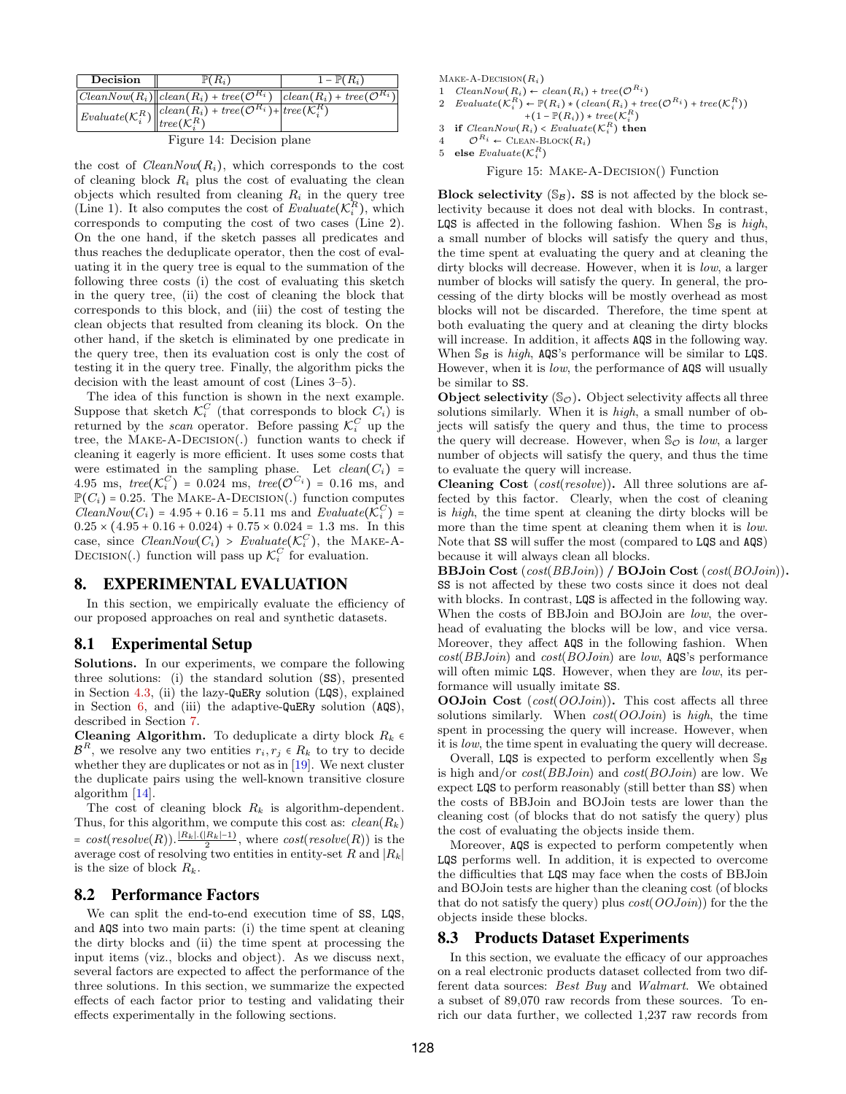<span id="page-8-1"></span>

| Decision | $\mathbb{P}(R_i)$                                                                                                                                                 | $1 - \mathbb{P}(R_i)$ |
|----------|-------------------------------------------------------------------------------------------------------------------------------------------------------------------|-----------------------|
|          | $ CleanNow(R_i)  clean(R_i) + tree(\mathcal{O}^{R_i}) $ $clean(R_i) + tree(\mathcal{O}^{R_i})$                                                                    |                       |
|          | $\frac{1}{\sqrt{R}} \text{Evaluate}(\mathcal{K}_i^R) \left\  \frac{clean(R_i) + tree(\mathcal{O}^{R_i}) + tree(\mathcal{K}_i^R)}{tree(\mathcal{K}_i^R)} \right\ $ |                       |

Figure 14: Decision plane

the cost of  $ClearNow(R_i)$ , which corresponds to the cost of cleaning block  $R_i$  plus the cost of evaluating the clean objects which resulted from cleaning  $R_i$  in the query tree (Line 1). It also computes the cost of  $Evaluate(K_i^R)$ , which corresponds to computing the cost of two cases (Line 2). On the one hand, if the sketch passes all predicates and thus reaches the deduplicate operator, then the cost of evaluating it in the query tree is equal to the summation of the following three costs (i) the cost of evaluating this sketch in the query tree, (ii) the cost of cleaning the block that corresponds to this block, and (iii) the cost of testing the clean objects that resulted from cleaning its block. On the other hand, if the sketch is eliminated by one predicate in the query tree, then its evaluation cost is only the cost of testing it in the query tree. Finally, the algorithm picks the decision with the least amount of cost (Lines 3–5).

The idea of this function is shown in the next example. Suppose that sketch  $\mathcal{K}_i^C$  (that corresponds to block  $C_i$ ) is returned by the *scan* operator. Before passing  $\mathcal{K}_i^C$  up the tree, the Make-A-Decision(.) function wants to check if cleaning it eagerly is more efficient. It uses some costs that were estimated in the sampling phase. Let  $clean(C_i)$  = 4.95 ms,  $tree({\cal K}^C_i) = 0.024$  ms,  $tree({\cal O}^{C_i}) = 0.16$  ms, and  $\mathbb{P}(C_i)$  = 0.25. The MAKE-A-DECISION(.) function computes  $ClearNow(C_i) = 4.95 + 0.16 = 5.11$  ms and  $Evaluate(\overline{\mathcal{K}}_i^C) =$  $0.25 \times (4.95 + 0.16 + 0.024) + 0.75 \times 0.024 = 1.3$  ms. In this case, since  $ClearNow(C_i) > Evaluate(K_i^C)$ , the MAKE-A-DECISION(.) function will pass up  $\mathcal{K}_i^C$  for evaluation.

### <span id="page-8-0"></span>8. EXPERIMENTAL EVALUATION

In this section, we empirically evaluate the efficiency of our proposed approaches on real and synthetic datasets.

### <span id="page-8-3"></span>8.1 Experimental Setup

Solutions. In our experiments, we compare the following three solutions: (i) the standard solution (SS), presented in Section [4.3,](#page-3-2) (ii) the lazy-QuERy solution (LQS), explained in Section [6,](#page-5-0) and (iii) the adaptive-QuERy solution (AQS), described in Section [7.](#page-7-0)

Cleaning Algorithm. To deduplicate a dirty block  $R_k \in$  $\mathcal{B}^R$ , we resolve any two entities  $r_i, r_j \in R_k$  to try to decide whether they are duplicates or not as in [\[19\]](#page-11-13). We next cluster the duplicate pairs using the well-known transitive closure algorithm [\[14\]](#page-11-14).

The cost of cleaning block  $R_k$  is algorithm-dependent. Thus, for this algorithm, we compute this cost as:  $clean(R_k)$  $= cost(resolve(R)).\frac{|R_k|.(|R_k|-1)}{2}$ , where  $cost(resolve(R))$  is the average cost of resolving two entities in entity-set R and  $|R_k|$ is the size of block  $R_k$ .

#### 8.2 Performance Factors

We can split the end-to-end execution time of SS, LQS, and AQS into two main parts: (i) the time spent at cleaning the dirty blocks and (ii) the time spent at processing the input items (viz., blocks and object). As we discuss next, several factors are expected to affect the performance of the three solutions. In this section, we summarize the expected effects of each factor prior to testing and validating their effects experimentally in the following sections.

<span id="page-8-2"></span> $M$ AKE-A-DECISION $(R_i)$ 

- 1  $ClearNow(R_i) \leftarrow clean(R_i) + tree(\mathcal{O}^{R_i})$
- 2  $Evaluate(\mathcal{K}_i^R) \leftarrow \mathbb{P}(R_i) * (clean(R_i) + tree(\mathcal{O}^{R_i}) + tree(\mathcal{K}_i^R))$ +(1 –  $\mathbb{P}(R_i)$ ) \* tree( $\mathcal{K}_i^R$ )
- 3 if  $ClearNow(R_i) < Evaluate(K_i^R)$  then
- 4  $\mathcal{O}^{R_i} \leftarrow \text{CLEAN-BLOCK}(R_i)$
- 5 else  $Evaluate(K_i^R)$

#### Figure 15: Make-A-Decision() Function

**Block selectivity**  $(\mathbb{S}_{\mathcal{B}})$ . SS is not affected by the block selectivity because it does not deal with blocks. In contrast, **LQS** is affected in the following fashion. When  $\mathbb{S}_{\mathcal{B}}$  is high, a small number of blocks will satisfy the query and thus, the time spent at evaluating the query and at cleaning the dirty blocks will decrease. However, when it is *low*, a larger number of blocks will satisfy the query. In general, the processing of the dirty blocks will be mostly overhead as most blocks will not be discarded. Therefore, the time spent at both evaluating the query and at cleaning the dirty blocks will increase. In addition, it affects AQS in the following way. When  $\mathbb{S}_{\mathcal{B}}$  is high, AQS's performance will be similar to LQS. However, when it is low, the performance of AQS will usually be similar to SS.

**Object selectivity**  $(\mathbb{S}_{\Omega})$ . Object selectivity affects all three solutions similarly. When it is high, a small number of objects will satisfy the query and thus, the time to process the query will decrease. However, when  $\mathcal{S}_{\mathcal{O}}$  is low, a larger number of objects will satisfy the query, and thus the time to evaluate the query will increase.

Cleaning Cost (cost(resolve)). All three solutions are affected by this factor. Clearly, when the cost of cleaning is high, the time spent at cleaning the dirty blocks will be more than the time spent at cleaning them when it is *low*. Note that SS will suffer the most (compared to LQS and AQS) because it will always clean all blocks.

BBJoin Cost (cost(BBJoin)) / BOJoin Cost (cost(BOJoin)). SS is not affected by these two costs since it does not deal with blocks. In contrast, LQS is affected in the following way. When the costs of BBJoin and BOJoin are low, the overhead of evaluating the blocks will be low, and vice versa. Moreover, they affect AQS in the following fashion. When  $cost(BBJoin)$  and  $cost(BOJoin)$  are low, AQS's performance will often mimic LQS. However, when they are *low*, its performance will usually imitate SS.

**OOJoin Cost** ( $cost(OOJoin)$ ). This cost affects all three solutions similarly. When  $cost(OOJoin)$  is high, the time spent in processing the query will increase. However, when it is low, the time spent in evaluating the query will decrease.

Overall, LQS is expected to perform excellently when  $\mathbb{S}_{\mathcal{B}}$ is high and/or  $cost(BBJoin)$  and  $cost(BOJoin)$  are low. We expect LQS to perform reasonably (still better than SS) when the costs of BBJoin and BOJoin tests are lower than the cleaning cost (of blocks that do not satisfy the query) plus the cost of evaluating the objects inside them.

Moreover, AQS is expected to perform competently when LQS performs well. In addition, it is expected to overcome the difficulties that LQS may face when the costs of BBJoin and BOJoin tests are higher than the cleaning cost (of blocks that do not satisfy the query) plus  $cost(OOJoin))$  for the the objects inside these blocks.

#### 8.3 Products Dataset Experiments

In this section, we evaluate the efficacy of our approaches on a real electronic products dataset collected from two different data sources: Best Buy and Walmart. We obtained a subset of 89,070 raw records from these sources. To enrich our data further, we collected 1,237 raw records from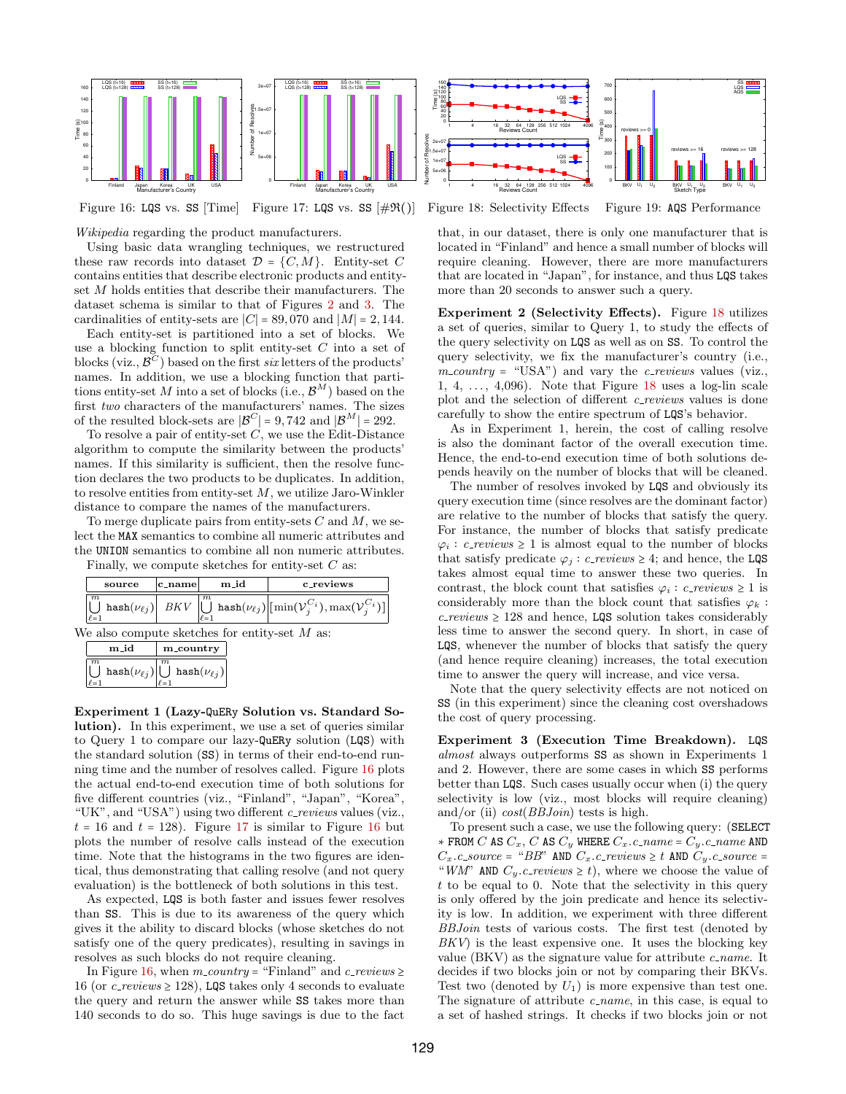<span id="page-9-0"></span>

Figure 16: LQS vs. SS [Time] Figure 17: LQS vs. SS  $[\#\Re()$  Figure 18: Selectivity Effects

Wikipedia regarding the product manufacturers.

Using basic data wrangling techniques, we restructured these raw records into dataset  $\mathcal{D} = \{C, M\}$ . Entity-set C contains entities that describe electronic products and entityset M holds entities that describe their manufacturers. The dataset schema is similar to that of Figures [2](#page-1-3) and [3.](#page-1-4) The cardinalities of entity-sets are  $|C| = 89,070$  and  $|M| = 2,144$ .

Each entity-set is partitioned into a set of blocks. We use a blocking function to split entity-set  $C$  into a set of blocks (viz.,  $\mathcal{B}^C$ ) based on the first six letters of the products' names. In addition, we use a blocking function that partitions entity-set M into a set of blocks (i.e.,  $\mathcal{B}^M$ ) based on the first two characters of the manufacturers' names. The sizes of the resulted block-sets are  $|\mathcal{B}^C| = 9,742$  and  $|\mathcal{B}^M| = 292$ .

To resolve a pair of entity-set  $C$ , we use the Edit-Distance algorithm to compute the similarity between the products' names. If this similarity is sufficient, then the resolve function declares the two products to be duplicates. In addition, to resolve entities from entity-set  $M$ , we utilize Jaro-Winkler distance to compare the names of the manufacturers.

To merge duplicate pairs from entity-sets  $C$  and  $M$ , we select the MAX semantics to combine all numeric attributes and the UNION semantics to combine all non numeric attributes.

| Finally, we compute sketches for entity-set $C$ as: |  |  |  |  |
|-----------------------------------------------------|--|--|--|--|
|-----------------------------------------------------|--|--|--|--|

| source | $ c\_name $ | m_id | c_reviews                                                                                                                                                                                                          |
|--------|-------------|------|--------------------------------------------------------------------------------------------------------------------------------------------------------------------------------------------------------------------|
| $_{m}$ |             | m    | $\left \bigcup_{\ell=1}^{\cdot}\ \texttt{hash}(\nu_{\ell j})\right \ BKV\ \Big \bigcup_{\ell=1}^{\cdot\cdot\cdot}\ \texttt{hash}(\nu_{\ell j})\Big [\min(\mathcal{V}_{j}^{C_i}),\max(\mathcal{V}_{j}^{C_i})]\Big $ |
|        |             |      |                                                                                                                                                                                                                    |

We also compute sketches for entity-set  $M$  as:

| m id | m_country                                                   |  |  |
|------|-------------------------------------------------------------|--|--|
|      | $\text{hash}(\nu_{\ell j})$ $\bigcup$ hash $(\nu_{\ell j})$ |  |  |

Experiment 1 (Lazy-QuERy Solution vs. Standard Solution). In this experiment, we use a set of queries similar to Query 1 to compare our lazy-QuERy solution (LQS) with the standard solution (SS) in terms of their end-to-end running time and the number of resolves called. Figure [16](#page-9-0) plots the actual end-to-end execution time of both solutions for five different countries (viz., "Finland", "Japan", "Korea", "UK", and "USA") using two different  $c$ -reviews values (viz.,  $t = 16$  $t = 16$  and  $t = 128$ ). Figure [17](#page-9-0) is similar to Figure 16 but plots the number of resolve calls instead of the execution time. Note that the histograms in the two figures are identical, thus demonstrating that calling resolve (and not query evaluation) is the bottleneck of both solutions in this test.

As expected, LQS is both faster and issues fewer resolves than SS. This is due to its awareness of the query which gives it the ability to discard blocks (whose sketches do not satisfy one of the query predicates), resulting in savings in resolves as such blocks do not require cleaning.

In Figure [16,](#page-9-0) when  $m\_country =$  "Finland" and  $c\_reviews \geq$ 16 (or c\_reviews  $\geq$  128), LQS takes only 4 seconds to evaluate the query and return the answer while SS takes more than 140 seconds to do so. This huge savings is due to the fact



Figure 19: AQS Performance

that, in our dataset, there is only one manufacturer that is located in "Finland" and hence a small number of blocks will require cleaning. However, there are more manufacturers that are located in "Japan", for instance, and thus LQS takes more than 20 seconds to answer such a query.

Experiment 2 (Selectivity Effects). Figure [18](#page-9-0) utilizes a set of queries, similar to Query 1, to study the effects of the query selectivity on LQS as well as on SS. To control the query selectivity, we fix the manufacturer's country (i.e.,  $m\_country = "USA"$  and vary the *c\_reviews* values (viz., 1, 4,  $\ldots$ , 4,096). Note that Figure [18](#page-9-0) uses a log-lin scale plot and the selection of different *c\_reviews* values is done carefully to show the entire spectrum of LQS's behavior.

As in Experiment 1, herein, the cost of calling resolve is also the dominant factor of the overall execution time. Hence, the end-to-end execution time of both solutions depends heavily on the number of blocks that will be cleaned.

The number of resolves invoked by LQS and obviously its query execution time (since resolves are the dominant factor) are relative to the number of blocks that satisfy the query. For instance, the number of blocks that satisfy predicate  $\varphi_i : c$ -reviews  $\geq 1$  is almost equal to the number of blocks that satisfy predicate  $\varphi_i$ : *c\_reviews*  $\geq 4$ ; and hence, the LQS takes almost equal time to answer these two queries. In contrast, the block count that satisfies  $\varphi_i : c\_reviews \geq 1$  is considerably more than the block count that satisfies  $\varphi_k$ :  $c$ -reviews  $\geq 128$  and hence, LQS solution takes considerably less time to answer the second query. In short, in case of LQS, whenever the number of blocks that satisfy the query (and hence require cleaning) increases, the total execution time to answer the query will increase, and vice versa.

Note that the query selectivity effects are not noticed on SS (in this experiment) since the cleaning cost overshadows the cost of query processing.

Experiment 3 (Execution Time Breakdown). LQS almost always outperforms SS as shown in Experiments 1 and 2. However, there are some cases in which SS performs better than LQS. Such cases usually occur when (i) the query selectivity is low (viz., most blocks will require cleaning) and/or (ii)  $cost(BBJoin)$  tests is high.

To present such a case, we use the following query: (SELECT ∗ FROM C AS  $C_x$ , C AS  $C_y$  WHERE  $C_x$ .c\_name =  $C_y$ .c\_name AND  $C_x.c$ -source = "BB" AND  $C_x.c$ -reviews  $\geq t$  AND  $C_y.c$ -source = "WM" AND  $C_y$ .c\_reviews  $\geq t$ ), where we choose the value of t to be equal to 0. Note that the selectivity in this query is only offered by the join predicate and hence its selectivity is low. In addition, we experiment with three different BBJoin tests of various costs. The first test (denoted by  $BKV$ ) is the least expensive one. It uses the blocking key value (BKV) as the signature value for attribute  $c$ -name. It decides if two blocks join or not by comparing their BKVs. Test two (denoted by  $U_1$ ) is more expensive than test one. The signature of attribute  $c$ -name, in this case, is equal to a set of hashed strings. It checks if two blocks join or not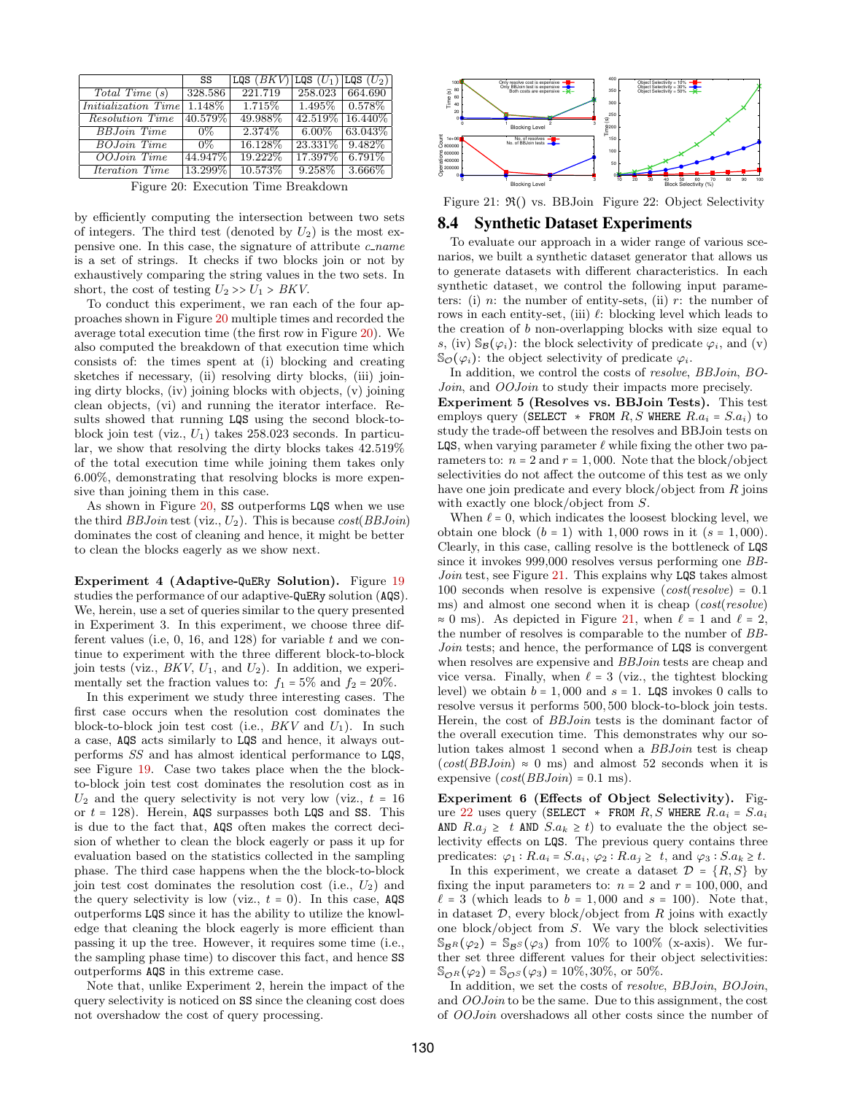<span id="page-10-0"></span>

|                            | SS      | LQS $(BKV)$ LQS $(U_1)$ LQS $(U_2)$ |                   |                 |
|----------------------------|---------|-------------------------------------|-------------------|-----------------|
| Total Time (s)             | 328.586 | 221.719                             | 258.023           | 664.690         |
| <i>Initialization Time</i> | 1.148\% | 1.715\%                             | $1.495\%$ 0.578\% |                 |
| <b>Resolution</b> Time     | 40.579% | 49.988%                             |                   | 42.519% 16.440% |
| <b>BBJoin</b> Time         | $0\%$   | 2.374%                              | $6.00\%$          | 63.043\%        |
| <b>BOJoin Time</b>         | $0\%$   | 16.128\%                            | $23.331\%$        | 9.482\%         |
| OOJoin Time                | 44.947% | 19.222\%                            | 17.397%           | $6.791\%$       |
| <i>Iteration Time</i>      | 13.299% | 10.573%                             | 9.258%            | $3.666\%$       |

Figure 20: Execution Time Breakdown

by efficiently computing the intersection between two sets of integers. The third test (denoted by  $U_2$ ) is the most expensive one. In this case, the signature of attribute  $c$ -name is a set of strings. It checks if two blocks join or not by exhaustively comparing the string values in the two sets. In short, the cost of testing  $U_2 \gg U_1 \gg BKV$ .

To conduct this experiment, we ran each of the four approaches shown in Figure [20](#page-10-0) multiple times and recorded the average total execution time (the first row in Figure [20\)](#page-10-0). We also computed the breakdown of that execution time which consists of: the times spent at (i) blocking and creating sketches if necessary, (ii) resolving dirty blocks, (iii) joining dirty blocks, (iv) joining blocks with objects, (v) joining clean objects, (vi) and running the iterator interface. Results showed that running LQS using the second block-toblock join test (viz.,  $U_1$ ) takes 258.023 seconds. In particular, we show that resolving the dirty blocks takes 42.519% of the total execution time while joining them takes only 6.00%, demonstrating that resolving blocks is more expensive than joining them in this case.

As shown in Figure [20,](#page-10-0) SS outperforms LQS when we use the third *BBJoin* test (viz.,  $U_2$ ). This is because  $cost(BBJoin)$ dominates the cost of cleaning and hence, it might be better to clean the blocks eagerly as we show next.

Experiment 4 (Adaptive-QuERy Solution). Figure [19](#page-9-0) studies the performance of our adaptive-QuERy solution (AQS). We, herein, use a set of queries similar to the query presented in Experiment 3. In this experiment, we choose three different values (i.e,  $0$ ,  $16$ , and  $128$ ) for variable  $t$  and we continue to experiment with the three different block-to-block join tests (viz.,  $BKV$ ,  $U_1$ , and  $U_2$ ). In addition, we experimentally set the fraction values to:  $f_1 = 5\%$  and  $f_2 = 20\%$ .

In this experiment we study three interesting cases. The first case occurs when the resolution cost dominates the block-to-block join test cost (i.e.,  $BKV$  and  $U_1$ ). In such a case, AQS acts similarly to LQS and hence, it always outperforms SS and has almost identical performance to LQS, see Figure [19.](#page-9-0) Case two takes place when the the blockto-block join test cost dominates the resolution cost as in  $U_2$  and the query selectivity is not very low (viz.,  $t = 16$ ) or  $t = 128$ ). Herein, AQS surpasses both LQS and SS. This is due to the fact that, AQS often makes the correct decision of whether to clean the block eagerly or pass it up for evaluation based on the statistics collected in the sampling phase. The third case happens when the the block-to-block join test cost dominates the resolution cost (i.e.,  $U_2$ ) and the query selectivity is low (viz.,  $t = 0$ ). In this case, AQS outperforms LQS since it has the ability to utilize the knowledge that cleaning the block eagerly is more efficient than passing it up the tree. However, it requires some time (i.e., the sampling phase time) to discover this fact, and hence SS outperforms AQS in this extreme case.

Note that, unlike Experiment 2, herein the impact of the query selectivity is noticed on SS since the cleaning cost does not overshadow the cost of query processing.

<span id="page-10-1"></span>

Figure 21: R() vs. BBJoin Figure 22: Object Selectivity

### 8.4 Synthetic Dataset Experiments

To evaluate our approach in a wider range of various scenarios, we built a synthetic dataset generator that allows us to generate datasets with different characteristics. In each synthetic dataset, we control the following input parameters: (i)  $n$ : the number of entity-sets, (ii)  $r$ : the number of rows in each entity-set, (iii)  $\ell$ : blocking level which leads to the creation of b non-overlapping blocks with size equal to s, (iv)  $\mathbb{S}_{\mathcal{B}}(\varphi_i)$ : the block selectivity of predicate  $\varphi_i$ , and (v)  $\mathbb{S}_{\mathcal{O}}(\varphi_i)$ : the object selectivity of predicate  $\varphi_i$ .

In addition, we control the costs of resolve, BBJoin, BO-Join, and *OOJoin* to study their impacts more precisely.

Experiment 5 (Resolves vs. BBJoin Tests). This test employs query (SELECT  $*$  FROM R, S WHERE  $R.a_i = S.a_i$ ) to study the trade-off between the resolves and BBJoin tests on **LQS**, when varying parameter  $\ell$  while fixing the other two parameters to:  $n = 2$  and  $r = 1,000$ . Note that the block/object selectivities do not affect the outcome of this test as we only have one join predicate and every block/object from  $R$  joins with exactly one block/object from  $S$ .

When  $\ell = 0$ , which indicates the loosest blocking level, we obtain one block  $(b = 1)$  with 1,000 rows in it  $(s = 1,000)$ . Clearly, in this case, calling resolve is the bottleneck of LQS since it invokes 999,000 resolves versus performing one BB-Join test, see Figure [21.](#page-10-1) This explains why LQS takes almost 100 seconds when resolve is expensive  $(cost(resolve) = 0.1$ ms) and almost one second when it is cheap (cost(resolve)  $\approx 0$  ms). As depicted in Figure [21,](#page-10-1) when  $\ell = 1$  and  $\ell = 2$ , the number of resolves is comparable to the number of BB-Join tests; and hence, the performance of LQS is convergent when resolves are expensive and *BBJoin* tests are cheap and vice versa. Finally, when  $\ell = 3$  (viz., the tightest blocking level) we obtain  $b = 1,000$  and  $s = 1$ . LQS invokes 0 calls to resolve versus it performs 500, 500 block-to-block join tests. Herein, the cost of BBJoin tests is the dominant factor of the overall execution time. This demonstrates why our solution takes almost 1 second when a BBJoin test is cheap  $(cost(BBJoin) \approx 0$  ms) and almost 52 seconds when it is expensive  $(cost(BBJoin) = 0.1$  ms).

Experiment 6 (Effects of Object Selectivity). Fig-ure [22](#page-10-1) uses query (SELECT  $*$  FROM R, S WHERE R.a<sub>i</sub> = S.a<sub>i</sub> AND  $R.a_j \geq t$  AND  $S.a_k \geq t$ ) to evaluate the the object selectivity effects on LQS. The previous query contains three predicates:  $\varphi_1$ :  $R.a_i$  =  $S.a_i$ ,  $\varphi_2$ :  $R.a_i \geq t$ , and  $\varphi_3$ :  $S.a_k \geq t$ .

In this experiment, we create a dataset  $\mathcal{D} = \{R, S\}$  by fixing the input parameters to:  $n = 2$  and  $r = 100,000$ , and  $\ell = 3$  (which leads to  $b = 1,000$  and  $s = 100$ ). Note that, in dataset  $\mathcal{D}$ , every block/object from R joins with exactly one block/object from S. We vary the block selectivities  $\mathbb{S}_{\mathcal{B}^R}(\varphi_2) = \mathbb{S}_{\mathcal{B}^S}(\varphi_3)$  from 10% to 100% (x-axis). We further set three different values for their object selectivities:  $\mathbb{S}_{\mathcal{O}^{R}}(\varphi_2) = \mathbb{S}_{\mathcal{O}^{S}}(\varphi_3) = 10\%, 30\%, \text{ or } 50\%.$ 

In addition, we set the costs of resolve, BBJoin, BOJoin, and OOJoin to be the same. Due to this assignment, the cost of OOJoin overshadows all other costs since the number of